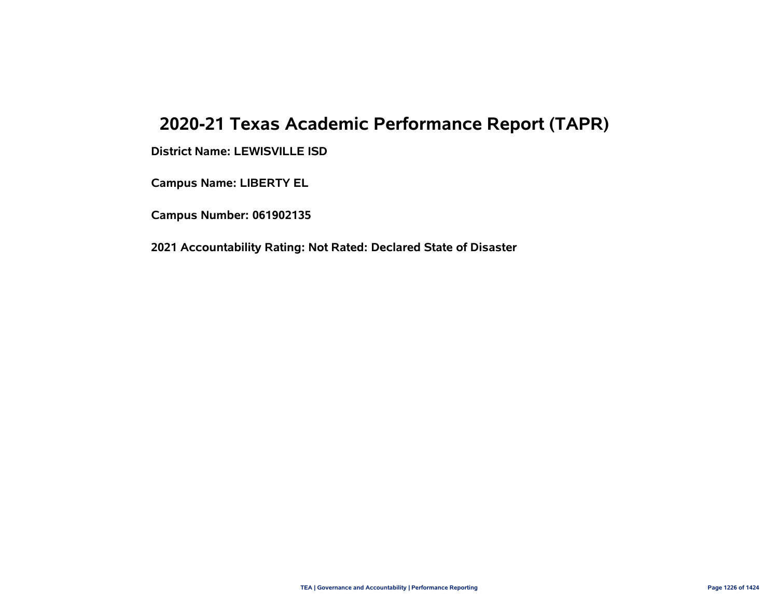# **2020-21 Texas Academic Performance Report (TAPR)**

**District Name: LEWISVILLE ISD**

**Campus Name: LIBERTY EL**

**Campus Number: 061902135**

**2021 Accountability Rating: Not Rated: Declared State of Disaster**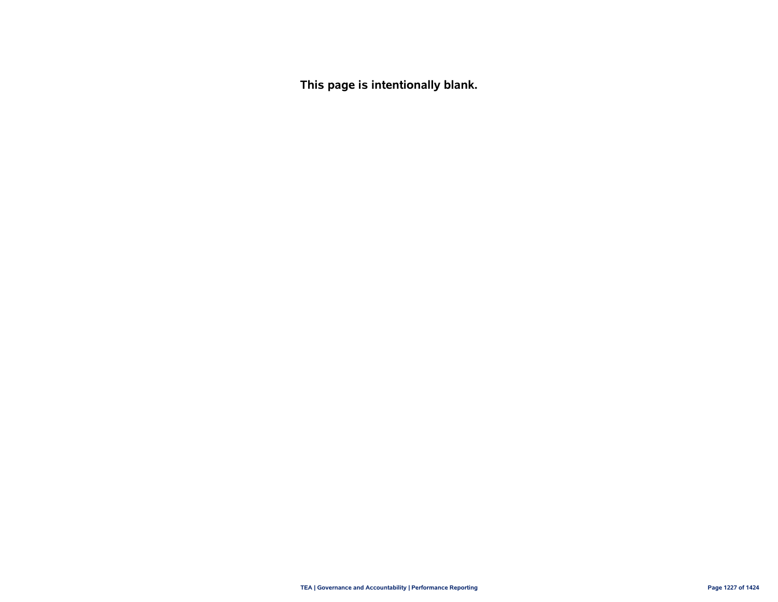**This page is intentionally blank.**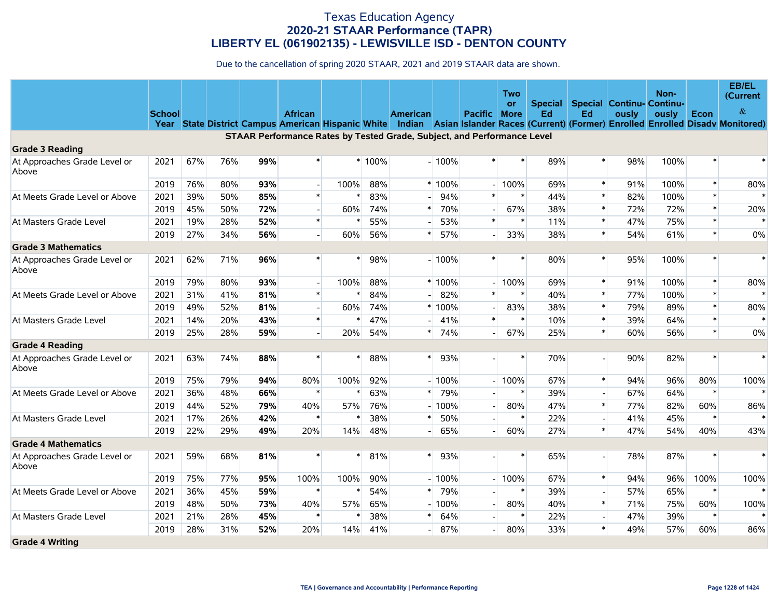|                                       |               |     |     |     |                                                                         |        |          |                 |         |                | Two         |                |                          |       | Non-                             |        | EB/EL<br>(Current                                                                                                                     |
|---------------------------------------|---------------|-----|-----|-----|-------------------------------------------------------------------------|--------|----------|-----------------|---------|----------------|-------------|----------------|--------------------------|-------|----------------------------------|--------|---------------------------------------------------------------------------------------------------------------------------------------|
|                                       |               |     |     |     |                                                                         |        |          |                 |         |                | or          | <b>Special</b> |                          |       | <b>Special Continu- Continu-</b> |        | $\&$                                                                                                                                  |
|                                       | <b>School</b> |     |     |     | <b>African</b>                                                          |        |          | <b>American</b> |         | Pacific        | <b>More</b> | Ed             | Ed                       | ously | ously                            | Econ   | Year State District Campus American Hispanic White Indian Asian Islander Races (Current) (Former) Enrolled Enrolled Disady Monitored) |
|                                       |               |     |     |     | STAAR Performance Rates by Tested Grade, Subject, and Performance Level |        |          |                 |         |                |             |                |                          |       |                                  |        |                                                                                                                                       |
| <b>Grade 3 Reading</b>                |               |     |     |     |                                                                         |        |          |                 |         |                |             |                |                          |       |                                  |        |                                                                                                                                       |
| At Approaches Grade Level or<br>Above | 2021          | 67% | 76% | 99% | $\ast$                                                                  |        | $*100\%$ |                 | $-100%$ |                | $\ast$      | 89%            | $\ast$                   | 98%   | 100%                             |        |                                                                                                                                       |
|                                       | 2019          | 76% | 80% | 93% | $\blacksquare$                                                          | 100%   | 88%      |                 | * 100%  | - 1            | 100%        | 69%            | $\ast$                   | 91%   | 100%                             | $\ast$ | 80%                                                                                                                                   |
| At Meets Grade Level or Above         | 2021          | 39% | 50% | 85% | $\ast$                                                                  | $\ast$ | 83%      |                 | 94%     | $\ast$         | $\ast$      | 44%            | $\ast$                   | 82%   | 100%                             | $\ast$ | $\ast$                                                                                                                                |
|                                       | 2019          | 45% | 50% | 72% | $\overline{a}$                                                          | 60%    | 74%      | *               | 70%     | $\blacksquare$ | 67%         | 38%            | $\ast$                   | 72%   | 72%                              | $\ast$ | 20%                                                                                                                                   |
| At Masters Grade Level                | 2021          | 19% | 28% | 52% | $\ast$                                                                  | $\ast$ | 55%      |                 | 53%     | $\ast$         | $\ast$      | 11%            | $\pmb{\ast}$             | 47%   | 75%                              | $\ast$ | $\ast$                                                                                                                                |
|                                       | 2019          | 27% | 34% | 56% |                                                                         | 60%    | 56%      | $\ast$          | 57%     | $\blacksquare$ | 33%         | 38%            | $\ast$                   | 54%   | 61%                              | $\ast$ | 0%                                                                                                                                    |
| <b>Grade 3 Mathematics</b>            |               |     |     |     |                                                                         |        |          |                 |         |                |             |                |                          |       |                                  |        |                                                                                                                                       |
| At Approaches Grade Level or<br>Above | 2021          | 62% | 71% | 96% | $\pmb{\ast}$                                                            | $\ast$ | 98%      |                 | $-100%$ | $\ast$         | $\ast$      | 80%            | $\ast$                   | 95%   | 100%                             | $\ast$ | $\ast$                                                                                                                                |
|                                       | 2019          | 79% | 80% | 93% | $\overline{a}$                                                          | 100%   | 88%      |                 | $*100%$ | ٠              | 100%        | 69%            | $\ast$                   | 91%   | 100%                             | $\ast$ | 80%                                                                                                                                   |
| At Meets Grade Level or Above         | 2021          | 31% | 41% | 81% | $\pmb{\ast}$                                                            | $\ast$ | 84%      |                 | 82%     | $\ast$         | $\ast$      | 40%            | $\ast$                   | 77%   | 100%                             | $\ast$ | $\ast$                                                                                                                                |
|                                       | 2019          | 49% | 52% | 81% |                                                                         | 60%    | 74%      |                 | * 100%  |                | 83%         | 38%            | $\ast$                   | 79%   | 89%                              | $\ast$ | 80%                                                                                                                                   |
| At Masters Grade Level                | 2021          | 14% | 20% | 43% | $\pmb{\ast}$                                                            | $\ast$ | 47%      |                 | 41%     | $\ast$         | $\ast$      | 10%            | $\ast$                   | 39%   | 64%                              | $\ast$ | $\ast$                                                                                                                                |
|                                       | 2019          | 25% | 28% | 59% |                                                                         | 20%    | 54%      | $\ast$          | 74%     |                | 67%         | 25%            | $\ast$                   | 60%   | 56%                              | $\ast$ | 0%                                                                                                                                    |
| <b>Grade 4 Reading</b>                |               |     |     |     |                                                                         |        |          |                 |         |                |             |                |                          |       |                                  |        |                                                                                                                                       |
| At Approaches Grade Level or<br>Above | 2021          | 63% | 74% | 88% | $\ast$                                                                  | $\ast$ | 88%      | $\ast$          | 93%     |                | $\ast$      | 70%            |                          | 90%   | 82%                              |        |                                                                                                                                       |
|                                       | 2019          | 75% | 79% | 94% | 80%                                                                     | 100%   | 92%      |                 | $-100%$ | -1             | 100%        | 67%            | $\ast$                   | 94%   | 96%                              | 80%    | 100%                                                                                                                                  |
| At Meets Grade Level or Above         | 2021          | 36% | 48% | 66% | $\ast$                                                                  | $\ast$ | 63%      |                 | 79%     |                | $\ast$      | 39%            | $\overline{\phantom{a}}$ | 67%   | 64%                              | $\ast$ | $\ast$                                                                                                                                |
|                                       | 2019          | 44% | 52% | 79% | 40%                                                                     | 57%    | 76%      |                 | $-100%$ | $\blacksquare$ | 80%         | 47%            | $\pmb{\ast}$             | 77%   | 82%                              | 60%    | 86%                                                                                                                                   |
| At Masters Grade Level                | 2021          | 17% | 26% | 42% | $\ast$                                                                  | $\ast$ | 38%      |                 | 50%     |                | $\ast$      | 22%            | $\mathbf{L}$             | 41%   | 45%                              | $\ast$ | $\ast$                                                                                                                                |
|                                       | 2019          | 22% | 29% | 49% | 20%                                                                     | 14%    | 48%      |                 | 65%     |                | 60%         | 27%            | $\ast$                   | 47%   | 54%                              | 40%    | 43%                                                                                                                                   |
| <b>Grade 4 Mathematics</b>            |               |     |     |     |                                                                         |        |          |                 |         |                |             |                |                          |       |                                  |        |                                                                                                                                       |
| At Approaches Grade Level or<br>Above | 2021          | 59% | 68% | 81% | $\ast$                                                                  | $\ast$ | 81%      | $\ast$          | 93%     |                | $\ast$      | 65%            | $\blacksquare$           | 78%   | 87%                              |        |                                                                                                                                       |
|                                       | 2019          | 75% | 77% | 95% | 100%                                                                    | 100%   | 90%      |                 | $-100%$ | -1             | 100%        | 67%            | $\ast$                   | 94%   | 96%                              | 100%   | 100%                                                                                                                                  |
| At Meets Grade Level or Above         | 2021          | 36% | 45% | 59% | $\ast$                                                                  | $\ast$ | 54%      | $\ast$          | 79%     |                | $\ast$      | 39%            | $\overline{\phantom{a}}$ | 57%   | 65%                              | $\ast$ |                                                                                                                                       |
|                                       | 2019          | 48% | 50% | 73% | 40%                                                                     | 57%    | 65%      |                 | $-100%$ | $\blacksquare$ | 80%         | 40%            | $\ast$                   | 71%   | 75%                              | 60%    | 100%                                                                                                                                  |
| At Masters Grade Level                | 2021          | 21% | 28% | 45% | $\ast$                                                                  | ∗      | 38%      | ∗               | 64%     | $\blacksquare$ | $\ast$      | 22%            | $\overline{\phantom{a}}$ | 47%   | 39%                              | $\ast$ |                                                                                                                                       |
|                                       | 2019          | 28% | 31% | 52% | 20%                                                                     | 14%    | 41%      |                 | 87%     | $\overline{a}$ | 80%         | 33%            | $\ast$                   | 49%   | 57%                              | 60%    | 86%                                                                                                                                   |
| <b>Grade 4 Writing</b>                |               |     |     |     |                                                                         |        |          |                 |         |                |             |                |                          |       |                                  |        |                                                                                                                                       |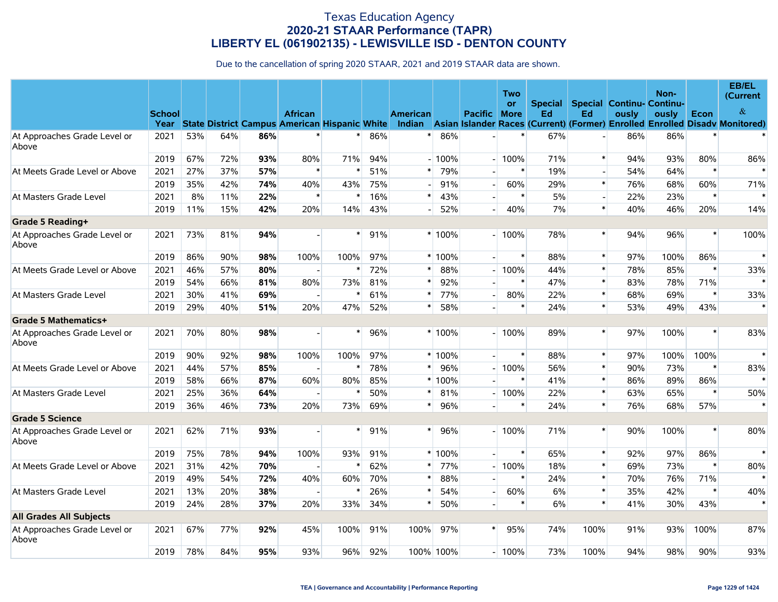|                                       |               |     |     |     |                                                                      |        |     |                 |           |                          | <b>Two</b><br><b>or</b> |     |                          | Special Special Continu- Continu- | Non-  |        | EB/EL<br>(Current                                                                       |
|---------------------------------------|---------------|-----|-----|-----|----------------------------------------------------------------------|--------|-----|-----------------|-----------|--------------------------|-------------------------|-----|--------------------------|-----------------------------------|-------|--------|-----------------------------------------------------------------------------------------|
|                                       | <b>School</b> |     |     |     | <b>African</b><br>Year State District Campus American Hispanic White |        |     | <b>American</b> |           | <b>Pacific</b>           | <b>More</b>             | Ed  | <b>Ed</b>                | ously                             | ously | Econ   | &<br>Indian Asian Islander Races (Current) (Former) Enrolled Enrolled Disady Monitored) |
| At Approaches Grade Level or<br>Above | 2021          | 53% | 64% | 86% |                                                                      |        | 86% | $\ast$          | 86%       |                          |                         | 67% |                          | 86%                               | 86%   |        |                                                                                         |
|                                       | 2019          | 67% | 72% | 93% | 80%                                                                  | 71%    | 94% |                 | - 100%    |                          | 100%                    | 71% | $\ast$                   | 94%                               | 93%   | 80%    | 86%                                                                                     |
| At Meets Grade Level or Above         | 2021          | 27% | 37% | 57% | $\ast$                                                               | ∗      | 51% |                 | 79%       |                          | $\ast$                  | 19% | $\sim$                   | 54%                               | 64%   | $\ast$ | $\ast$                                                                                  |
|                                       | 2019          | 35% | 42% | 74% | 40%                                                                  | 43%    | 75% |                 | 91%       |                          | 60%                     | 29% | $\ast$                   | 76%                               | 68%   | 60%    | 71%                                                                                     |
| At Masters Grade Level                | 2021          | 8%  | 11% | 22% | $\ast$                                                               |        | 16% |                 | 43%       | $\blacksquare$           | $\ast$                  | 5%  | $\overline{\phantom{a}}$ | 22%                               | 23%   | $\ast$ | $\ast$                                                                                  |
|                                       | 2019          | 11% | 15% | 42% | 20%                                                                  | 14%    | 43% |                 | 52%       | $\overline{\phantom{a}}$ | 40%                     | 7%  | $\ast$                   | 40%                               | 46%   | 20%    | 14%                                                                                     |
| Grade 5 Reading+                      |               |     |     |     |                                                                      |        |     |                 |           |                          |                         |     |                          |                                   |       |        |                                                                                         |
| At Approaches Grade Level or<br>Above | 2021          | 73% | 81% | 94% | $\blacksquare$                                                       | $\ast$ | 91% |                 | $*100%$   |                          | $-100\%$                | 78% | $\ast$                   | 94%                               | 96%   | $\ast$ | 100%                                                                                    |
|                                       | 2019          | 86% | 90% | 98% | 100%                                                                 | 100%   | 97% |                 | $*100\%$  |                          | $\ast$                  | 88% | $\pmb{\ast}$             | 97%                               | 100%  | 86%    | $\ast$                                                                                  |
| At Meets Grade Level or Above         | 2021          | 46% | 57% | 80% |                                                                      |        | 72% |                 | 88%       |                          | 100%                    | 44% | $\ast$                   | 78%                               | 85%   | $\ast$ | 33%                                                                                     |
|                                       | 2019          | 54% | 66% | 81% | 80%                                                                  | 73%    | 81% | $\ast$          | 92%       |                          | $\ast$                  | 47% | $\ast$                   | 83%                               | 78%   | 71%    | $\ast$                                                                                  |
| At Masters Grade Level                | 2021          | 30% | 41% | 69% |                                                                      |        | 61% | $\ast$          | 77%       |                          | 80%                     | 22% | $\ast$                   | 68%                               | 69%   | $\ast$ | 33%                                                                                     |
|                                       | 2019          | 29% | 40% | 51% | 20%                                                                  | 47%    | 52% |                 | 58%       |                          | $\ast$                  | 24% | $\ast$                   | 53%                               | 49%   | 43%    | $\ast$                                                                                  |
| <b>Grade 5 Mathematics+</b>           |               |     |     |     |                                                                      |        |     |                 |           |                          |                         |     |                          |                                   |       |        |                                                                                         |
| At Approaches Grade Level or<br>Above | 2021          | 70% | 80% | 98% |                                                                      | $\ast$ | 96% |                 | $*100%$   |                          | $-100%$                 | 89% | $\ast$                   | 97%                               | 100%  | $\ast$ | 83%                                                                                     |
|                                       | 2019          | 90% | 92% | 98% | 100%                                                                 | 100%   | 97% |                 | $*100%$   |                          | $\ast$                  | 88% | $\ast$                   | 97%                               | 100%  | 100%   | $\ast$                                                                                  |
| At Meets Grade Level or Above         | 2021          | 44% | 57% | 85% |                                                                      | $\ast$ | 78% | $\ast$          | 96%       |                          | 100%                    | 56% | $\ast$                   | 90%                               | 73%   | $\ast$ | 83%                                                                                     |
|                                       | 2019          | 58% | 66% | 87% | 60%                                                                  | 80%    | 85% |                 | $*100%$   |                          | $\ast$                  | 41% | $\ast$                   | 86%                               | 89%   | 86%    | $\ast$                                                                                  |
| At Masters Grade Level                | 2021          | 25% | 36% | 64% |                                                                      | $\ast$ | 50% | $\ast$          | 81%       |                          | 100%                    | 22% | $\ast$                   | 63%                               | 65%   | $\ast$ | 50%                                                                                     |
|                                       | 2019          | 36% | 46% | 73% | 20%                                                                  | 73%    | 69% | $\ast$          | 96%       |                          | ∗                       | 24% | $\ast$                   | 76%                               | 68%   | 57%    | $\ast$                                                                                  |
| <b>Grade 5 Science</b>                |               |     |     |     |                                                                      |        |     |                 |           |                          |                         |     |                          |                                   |       |        |                                                                                         |
| At Approaches Grade Level or<br>Above | 2021          | 62% | 71% | 93% |                                                                      |        | 91% | $\ast$          | 96%       |                          | - 100%                  | 71% | $\ast$                   | 90%                               | 100%  | $\ast$ | 80%                                                                                     |
|                                       | 2019          | 75% | 78% | 94% | 100%                                                                 | 93%    | 91% |                 | $*100%$   |                          | $\ast$                  | 65% | $\ast$                   | 92%                               | 97%   | 86%    | $\ast$                                                                                  |
| At Meets Grade Level or Above         | 2021          | 31% | 42% | 70% | $\overline{\phantom{a}}$                                             |        | 62% |                 | 77%       |                          | 100%                    | 18% | $\ast$                   | 69%                               | 73%   | $\ast$ | 80%                                                                                     |
|                                       | 2019          | 49% | 54% | 72% | 40%                                                                  | 60%    | 70% |                 | 88%       |                          | $\ast$                  | 24% | $\ast$                   | 70%                               | 76%   | 71%    | $\star$                                                                                 |
| At Masters Grade Level                | 2021          | 13% | 20% | 38% |                                                                      |        | 26% |                 | 54%       |                          | 60%                     | 6%  | $\ast$                   | 35%                               | 42%   | $\ast$ | 40%                                                                                     |
|                                       | 2019          | 24% | 28% | 37% | 20%                                                                  | 33%    | 34% |                 | 50%       |                          | $\ast$                  | 6%  | $\ast$                   | 41%                               | 30%   | 43%    | $\ast$                                                                                  |
| <b>All Grades All Subjects</b>        |               |     |     |     |                                                                      |        |     |                 |           |                          |                         |     |                          |                                   |       |        |                                                                                         |
| At Approaches Grade Level or<br>Above | 2021          | 67% | 77% | 92% | 45%                                                                  | 100%   | 91% | 100%            | 97%       |                          | 95%                     | 74% | 100%                     | 91%                               | 93%   | 100%   | 87%                                                                                     |
|                                       | 2019          | 78% | 84% | 95% | 93%                                                                  | 96%    | 92% |                 | 100% 100% |                          | $-100%$                 | 73% | 100%                     | 94%                               | 98%   | 90%    | 93%                                                                                     |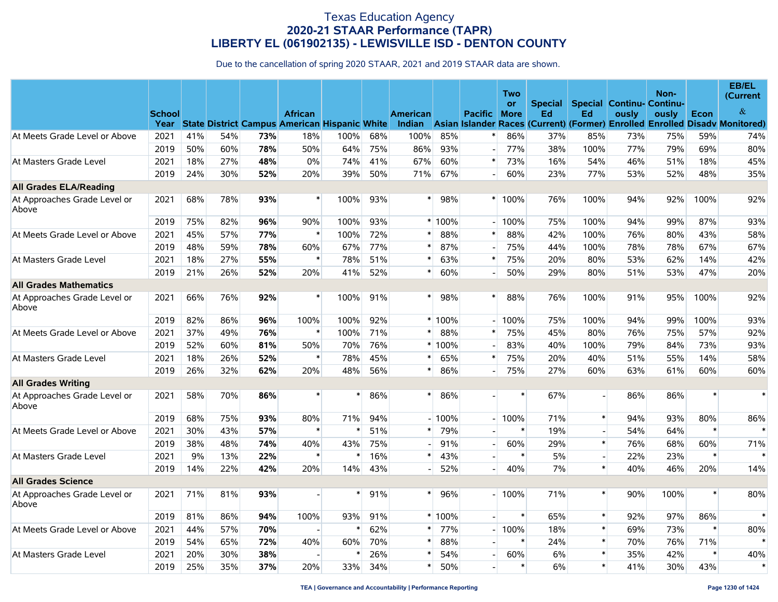|                                       |                       |     |     |     |                                                      |        |     |                 |         |                | <b>Two</b>  |         |                          |                                  | Non-  |        | EB/EL<br>(Current                                                                  |
|---------------------------------------|-----------------------|-----|-----|-----|------------------------------------------------------|--------|-----|-----------------|---------|----------------|-------------|---------|--------------------------|----------------------------------|-------|--------|------------------------------------------------------------------------------------|
|                                       |                       |     |     |     | <b>African</b>                                       |        |     |                 |         |                | <b>or</b>   | Special |                          | <b>Special Continu- Continu-</b> |       |        | $\&$                                                                               |
|                                       | <b>School</b><br>Year |     |     |     | <b>State District Campus American Hispanic White</b> |        |     | <b>American</b> |         | <b>Pacific</b> | <b>More</b> | Ed      | Ed                       | ously                            | ously | Econ   | Indian Asian Islander Races (Current) (Former) Enrolled Enrolled Disady Monitored) |
| At Meets Grade Level or Above         | 2021                  | 41% | 54% | 73% | 18%                                                  | 100%   | 68% | 100%            | 85%     | $\ast$         | 86%         | 37%     | 85%                      | 73%                              | 75%   | 59%    | 74%                                                                                |
|                                       | 2019                  | 50% | 60% | 78% | 50%                                                  | 64%    | 75% | 86%             | 93%     |                | 77%         | 38%     | 100%                     | 77%                              | 79%   | 69%    | 80%                                                                                |
| At Masters Grade Level                | 2021                  | 18% | 27% | 48% | 0%                                                   | 74%    | 41% | 67%             | 60%     | $\ast$         | 73%         | 16%     | 54%                      | 46%                              | 51%   | 18%    | 45%                                                                                |
|                                       | 2019                  | 24% | 30% | 52% | 20%                                                  | 39%    | 50% | 71%             | 67%     |                | 60%         | 23%     | 77%                      | 53%                              | 52%   | 48%    | 35%                                                                                |
| <b>All Grades ELA/Reading</b>         |                       |     |     |     |                                                      |        |     |                 |         |                |             |         |                          |                                  |       |        |                                                                                    |
| At Approaches Grade Level or<br>Above | 2021                  | 68% | 78% | 93% | $\ast$                                               | 100%   | 93% | $\ast$          | 98%     |                | $*100\%$    | 76%     | 100%                     | 94%                              | 92%   | 100%   | 92%                                                                                |
|                                       | 2019                  | 75% | 82% | 96% | 90%                                                  | 100%   | 93% |                 | $*100%$ |                | 100%        | 75%     | 100%                     | 94%                              | 99%   | 87%    | 93%                                                                                |
| At Meets Grade Level or Above         | 2021                  | 45% | 57% | 77% | $\ast$                                               | 100%   | 72% | $\ast$          | 88%     | $\ast$         | 88%         | 42%     | 100%                     | 76%                              | 80%   | 43%    | 58%                                                                                |
|                                       | 2019                  | 48% | 59% | 78% | 60%                                                  | 67%    | 77% | $\ast$          | 87%     |                | 75%         | 44%     | 100%                     | 78%                              | 78%   | 67%    | 67%                                                                                |
| At Masters Grade Level                | 2021                  | 18% | 27% | 55% | $\ast$                                               | 78%    | 51% |                 | 63%     |                | 75%         | 20%     | 80%                      | 53%                              | 62%   | 14%    | 42%                                                                                |
|                                       | 2019                  | 21% | 26% | 52% | 20%                                                  | 41%    | 52% |                 | 60%     |                | 50%         | 29%     | 80%                      | 51%                              | 53%   | 47%    | 20%                                                                                |
| <b>All Grades Mathematics</b>         |                       |     |     |     |                                                      |        |     |                 |         |                |             |         |                          |                                  |       |        |                                                                                    |
| At Approaches Grade Level or<br>Above | 2021                  | 66% | 76% | 92% | $\ast$                                               | 100%   | 91% | $\ast$          | 98%     | $\ast$         | 88%         | 76%     | 100%                     | 91%                              | 95%   | 100%   | 92%                                                                                |
|                                       | 2019                  | 82% | 86% | 96% | 100%                                                 | 100%   | 92% |                 | $*100%$ |                | 100%        | 75%     | 100%                     | 94%                              | 99%   | 100%   | 93%                                                                                |
| At Meets Grade Level or Above         | 2021                  | 37% | 49% | 76% | $\ast$                                               | 100%   | 71% | $\ast$          | 88%     | $\ast$         | 75%         | 45%     | 80%                      | 76%                              | 75%   | 57%    | 92%                                                                                |
|                                       | 2019                  | 52% | 60% | 81% | 50%                                                  | 70%    | 76% |                 | 100%    |                | 83%         | 40%     | 100%                     | 79%                              | 84%   | 73%    | 93%                                                                                |
| At Masters Grade Level                | 2021                  | 18% | 26% | 52% | $\ast$                                               | 78%    | 45% |                 | 65%     | $\ast$         | 75%         | 20%     | 40%                      | 51%                              | 55%   | 14%    | 58%                                                                                |
|                                       | 2019                  | 26% | 32% | 62% | 20%                                                  | 48%    | 56% |                 | 86%     |                | 75%         | 27%     | 60%                      | 63%                              | 61%   | 60%    | 60%                                                                                |
| <b>All Grades Writing</b>             |                       |     |     |     |                                                      |        |     |                 |         |                |             |         |                          |                                  |       |        |                                                                                    |
| At Approaches Grade Level or<br>Above | 2021                  | 58% | 70% | 86% | $\ast$                                               | $\ast$ | 86% | $\ast$          | 86%     |                | $\ast$      | 67%     |                          | 86%                              | 86%   | $\ast$ | $\ast$                                                                             |
|                                       | 2019                  | 68% | 75% | 93% | 80%                                                  | 71%    | 94% |                 | $-100%$ |                | 100%        | 71%     | $\ast$                   | 94%                              | 93%   | 80%    | 86%                                                                                |
| At Meets Grade Level or Above         | 2021                  | 30% | 43% | 57% | $\ast$                                               |        | 51% |                 | 79%     |                | $\ast$      | 19%     | $\overline{\phantom{a}}$ | 54%                              | 64%   | $\ast$ |                                                                                    |
|                                       | 2019                  | 38% | 48% | 74% | 40%                                                  | 43%    | 75% |                 | 91%     |                | 60%         | 29%     | $\ast$                   | 76%                              | 68%   | 60%    | 71%                                                                                |
| At Masters Grade Level                | 2021                  | 9%  | 13% | 22% | $\ast$                                               |        | 16% |                 | 43%     |                | $\ast$      | 5%      | $\sim$                   | 22%                              | 23%   | $\ast$ |                                                                                    |
|                                       | 2019                  | 14% | 22% | 42% | 20%                                                  | 14%    | 43% |                 | 52%     |                | 40%         | 7%      | $\ast$                   | 40%                              | 46%   | 20%    | 14%                                                                                |
| <b>All Grades Science</b>             |                       |     |     |     |                                                      |        |     |                 |         |                |             |         |                          |                                  |       |        |                                                                                    |
| At Approaches Grade Level or<br>Above | 2021                  | 71% | 81% | 93% |                                                      |        | 91% | $\ast$          | 96%     |                | $-100%$     | 71%     | $\ast$                   | 90%                              | 100%  | $\ast$ | 80%                                                                                |
|                                       | 2019                  | 81% | 86% | 94% | 100%                                                 | 93%    | 91% |                 | $*100%$ |                | $\ast$      | 65%     | $\ast$                   | 92%                              | 97%   | 86%    | $\ast$                                                                             |
| At Meets Grade Level or Above         | 2021                  | 44% | 57% | 70% | $\overline{\phantom{a}}$                             |        | 62% |                 | 77%     |                | 100%        | 18%     | $\ast$                   | 69%                              | 73%   | $\ast$ | 80%                                                                                |
|                                       | 2019                  | 54% | 65% | 72% | 40%                                                  | 60%    | 70% |                 | 88%     |                | $\ast$      | 24%     | $\ast$                   | 70%                              | 76%   | 71%    |                                                                                    |
| At Masters Grade Level                | 2021                  | 20% | 30% | 38% | $\overline{a}$                                       |        | 26% |                 | 54%     |                | 60%         | 6%      | $\ast$                   | 35%                              | 42%   | $\ast$ | 40%                                                                                |
|                                       | 2019                  | 25% | 35% | 37% | 20%                                                  | 33%    | 34% | $\ast$          | 50%     |                | $\ast$      | 6%      | $\ast$                   | 41%                              | 30%   | 43%    | $\ast$                                                                             |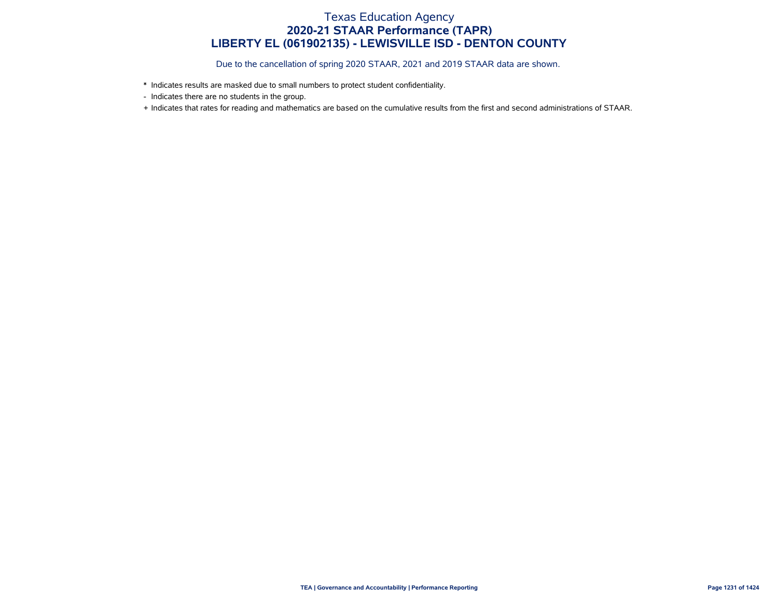- \* Indicates results are masked due to small numbers to protect student confidentiality.
- Indicates there are no students in the group.
- + Indicates that rates for reading and mathematics are based on the cumulative results from the first and second administrations of STAAR.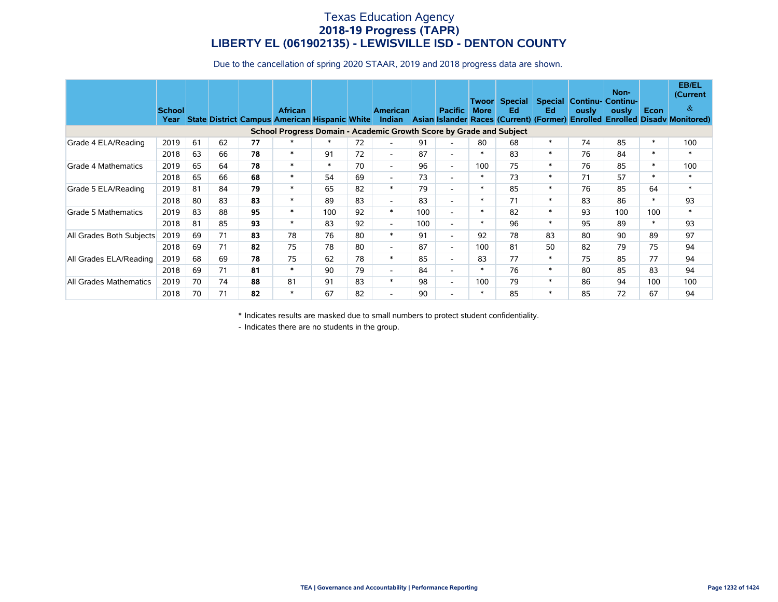## Texas Education Agency **2018-19 Progress (TAPR) LIBERTY EL (061902135) - LEWISVILLE ISD - DENTON COUNTY**

Due to the cancellation of spring 2020 STAAR, 2019 and 2018 progress data are shown.

|                          | <b>School</b><br>Year |    |    |    | <b>African</b><br><b>State District Campus American Hispanic White</b> |        |    | <b>American</b>          |     | <b>Pacific</b>           | Twoor<br><b>More</b> | Special  <br>Ed<br>Indian Asian Islander Races (Current) (Former) | Ed.    | ously | Non-<br><b>Special Continu- Continu-</b><br>ously | Econ   | <b>EB/EL</b><br>(Current)<br>$\&$<br><b>Enrolled Enrolled Disady Monitored)</b> |
|--------------------------|-----------------------|----|----|----|------------------------------------------------------------------------|--------|----|--------------------------|-----|--------------------------|----------------------|-------------------------------------------------------------------|--------|-------|---------------------------------------------------|--------|---------------------------------------------------------------------------------|
|                          |                       |    |    |    | School Progress Domain - Academic Growth Score by Grade and Subject    |        |    |                          |     |                          |                      |                                                                   |        |       |                                                   |        |                                                                                 |
| Grade 4 ELA/Reading      | 2019                  | 61 | 62 | 77 | $\ast$                                                                 | $\ast$ | 72 | $\overline{\phantom{a}}$ | 91  | $\overline{\phantom{0}}$ | 80                   | 68                                                                | $\ast$ | 74    | 85                                                | $\ast$ | 100                                                                             |
|                          | 2018                  | 63 | 66 | 78 | $\ast$                                                                 | 91     | 72 | $\overline{\phantom{a}}$ | 87  | $\overline{\phantom{0}}$ | $\ast$               | 83                                                                | $\ast$ | 76    | 84                                                | $\ast$ | $\ast$                                                                          |
| Grade 4 Mathematics      | 2019                  | 65 | 64 | 78 | $\ast$                                                                 | $\ast$ | 70 | $\overline{\phantom{a}}$ | 96  | $\overline{\phantom{a}}$ | 100                  | 75                                                                | $\ast$ | 76    | 85                                                | $\ast$ | 100                                                                             |
|                          | 2018                  | 65 | 66 | 68 | $\ast$                                                                 | 54     | 69 | $\overline{\phantom{a}}$ | 73  | $\overline{\phantom{0}}$ | $\ast$               | 73                                                                | $\ast$ | 71    | 57                                                | $\ast$ | $\ast$                                                                          |
| Grade 5 ELA/Reading      | 2019                  | 81 | 84 | 79 | $\ast$                                                                 | 65     | 82 | $\ast$                   | 79  | $\overline{\phantom{a}}$ | $\ast$               | 85                                                                | $\ast$ | 76    | 85                                                | 64     | $\ast$                                                                          |
|                          | 2018                  | 80 | 83 | 83 | $\ast$                                                                 | 89     | 83 | $\overline{\phantom{a}}$ | 83  | $\overline{\phantom{0}}$ | $\ast$               | 71                                                                | $\ast$ | 83    | 86                                                | $\ast$ | 93                                                                              |
| Grade 5 Mathematics      | 2019                  | 83 | 88 | 95 | $\ast$                                                                 | 100    | 92 | $\ast$                   | 100 | $\overline{\phantom{0}}$ | $\ast$               | 82                                                                | $\ast$ | 93    | 100                                               | 100    | $\ast$                                                                          |
|                          | 2018                  | 81 | 85 | 93 | $\ast$                                                                 | 83     | 92 | $\overline{\phantom{a}}$ | 100 | $\overline{\phantom{0}}$ | $\ast$               | 96                                                                | $\ast$ | 95    | 89                                                | $\ast$ | 93                                                                              |
| All Grades Both Subjects | 2019                  | 69 | 71 | 83 | 78                                                                     | 76     | 80 | $\ast$                   | 91  | $\overline{a}$           | 92                   | 78                                                                | 83     | 80    | 90                                                | 89     | 97                                                                              |
|                          | 2018                  | 69 | 71 | 82 | 75                                                                     | 78     | 80 | $\overline{\phantom{a}}$ | 87  | $\overline{\phantom{a}}$ | 100                  | 81                                                                | 50     | 82    | 79                                                | 75     | 94                                                                              |
| All Grades ELA/Reading   | 2019                  | 68 | 69 | 78 | 75                                                                     | 62     | 78 | $\ast$                   | 85  | $\overline{\phantom{0}}$ | 83                   | 77                                                                | $\ast$ | 75    | 85                                                | 77     | 94                                                                              |
|                          | 2018                  | 69 | 71 | 81 | $\ast$                                                                 | 90     | 79 | $\overline{\phantom{a}}$ | 84  | $\overline{\phantom{0}}$ | $\ast$               | 76                                                                | $\ast$ | 80    | 85                                                | 83     | 94                                                                              |
| All Grades Mathematics   | 2019                  | 70 | 74 | 88 | 81                                                                     | 91     | 83 | $\ast$                   | 98  | $\overline{\phantom{0}}$ | 100                  | 79                                                                | $\ast$ | 86    | 94                                                | 100    | 100                                                                             |
|                          | 2018                  | 70 | 71 | 82 | $\ast$                                                                 | 67     | 82 |                          | 90  |                          | $\ast$               | 85                                                                | $\ast$ | 85    | 72                                                | 67     | 94                                                                              |

\* Indicates results are masked due to small numbers to protect student confidentiality.

- Indicates there are no students in the group.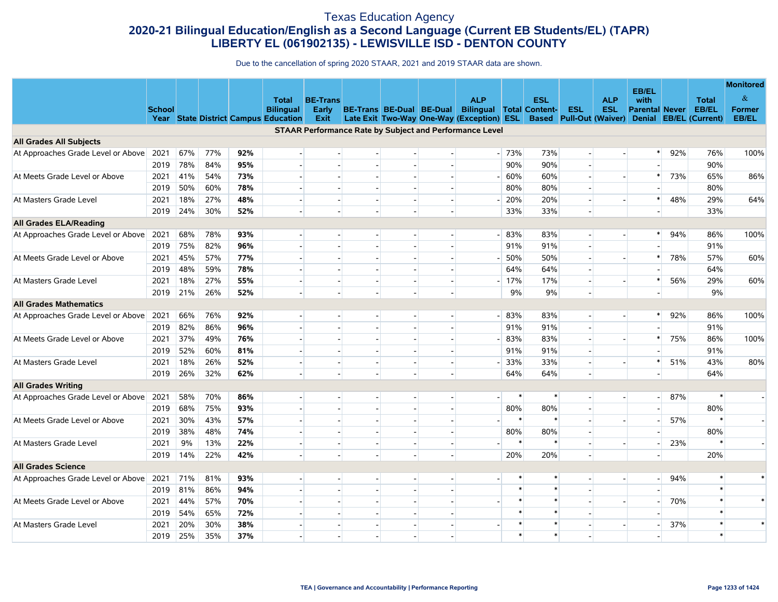# Texas Education Agency **2020-21 Bilingual Education/English as a Second Language (Current EB Students/EL) (TAPR) LIBERTY EL (061902135) - LEWISVILLE ISD - DENTON COUNTY**

|                                    |               |           |            |            |                                             |                          |                          |                                 |                          |                                                                                                             |               |               |                                |                          | <b>EB/EL</b>             |     |                        | <b>Monitored</b> |
|------------------------------------|---------------|-----------|------------|------------|---------------------------------------------|--------------------------|--------------------------|---------------------------------|--------------------------|-------------------------------------------------------------------------------------------------------------|---------------|---------------|--------------------------------|--------------------------|--------------------------|-----|------------------------|------------------|
|                                    |               |           |            |            | <b>Total</b>                                | <b>BE-Trans</b>          |                          |                                 |                          | <b>ALP</b>                                                                                                  |               | <b>ESL</b>    |                                | <b>ALP</b>               | with                     |     | <b>Total</b>           | $\&$             |
|                                    | <b>School</b> |           |            |            | <b>Bilingual</b>                            | Early                    |                          | <b>BE-Trans BE-Dual BE-Dual</b> |                          | <b>Bilingual Total Content-</b>                                                                             |               |               | <b>ESL</b>                     | <b>ESL</b>               | <b>Parental Never</b>    |     | <b>EB/EL</b>           | <b>Former</b>    |
|                                    |               |           |            |            | <b>Year State District Campus Education</b> | Exit                     |                          |                                 |                          | Late Exit Two-Way One-Way (Exception) ESL<br><b>STAAR Performance Rate by Subject and Performance Level</b> |               |               | <b>Based Pull-Out (Waiver)</b> |                          | <b>Denial</b>            |     | <b>EB/EL (Current)</b> | EB/EL            |
| All Grades All Subjects            |               |           |            |            |                                             |                          |                          |                                 |                          |                                                                                                             |               |               |                                |                          |                          |     |                        |                  |
| At Approaches Grade Level or Above | 2021          | 67%       | 77%        | 92%        | $\sim$                                      |                          | $\blacksquare$           |                                 | $\overline{\phantom{a}}$ |                                                                                                             | $-173%$       | 73%           | $\overline{\phantom{a}}$       | $\overline{\phantom{a}}$ | $\ast$                   | 92% | 76%                    | 100%             |
|                                    | 2019          | 78%       | 84%        | 95%        |                                             |                          |                          |                                 |                          |                                                                                                             | 90%           | 90%           |                                |                          |                          |     | 90%                    |                  |
| At Meets Grade Level or Above      | 2021          | 41%       | 54%        | 73%        | $\overline{a}$                              | $\mathbf{u}^{(1)}$       |                          |                                 |                          |                                                                                                             | 60%           | 60%           | $\overline{\phantom{a}}$       | $\overline{a}$           | *                        | 73% | 65%                    | 86%              |
|                                    | 2019          | 50%       | 60%        | 78%        | $\overline{\phantom{a}}$                    |                          |                          |                                 |                          |                                                                                                             | 80%           | 80%           | $\overline{a}$                 |                          |                          |     | 80%                    |                  |
| At Masters Grade Level             | 2021          | 18%       | 27%        | 48%        | $\overline{\phantom{a}}$                    |                          |                          |                                 |                          |                                                                                                             | 20%           | 20%           | $\frac{1}{2}$                  |                          | $\ast$                   | 48% | 29%                    | 64%              |
|                                    | 2019          | 24%       | 30%        | 52%        |                                             |                          |                          |                                 |                          |                                                                                                             | 33%           | 33%           |                                |                          |                          |     | 33%                    |                  |
| <b>All Grades ELA/Reading</b>      |               |           |            |            |                                             |                          |                          |                                 |                          |                                                                                                             |               |               |                                |                          |                          |     |                        |                  |
| At Approaches Grade Level or Above | 2021          | 68%       | 78%        | 93%        | $\overline{\phantom{a}}$                    | $\overline{\phantom{a}}$ | $\overline{\phantom{a}}$ |                                 |                          |                                                                                                             | 83%           | 83%           | $\overline{\phantom{a}}$       | $\overline{\phantom{a}}$ | $\ast$                   | 94% | 86%                    | 100%             |
|                                    | 2019          | 75%       | 82%        | 96%        |                                             |                          |                          |                                 |                          |                                                                                                             | 91%           | 91%           |                                |                          |                          |     | 91%                    |                  |
| At Meets Grade Level or Above      | 2021          | 45%       | 57%        | 77%        | $\sim$                                      |                          |                          |                                 |                          |                                                                                                             | 50%           | 50%           | $\overline{a}$                 | $\sim$                   | *                        | 78% | 57%                    | 60%              |
|                                    | 2019          | 48%       | 59%        | 78%        | $\sim$                                      |                          |                          |                                 |                          |                                                                                                             | 64%           | 64%           | $\overline{a}$                 |                          |                          |     | 64%                    |                  |
| At Masters Grade Level             | 2021          | 18%       | 27%        | 55%        | $\overline{\phantom{a}}$                    |                          |                          |                                 |                          |                                                                                                             | $-17%$        | 17%           |                                |                          | *                        | 56% | 29%                    | 60%              |
|                                    | 2019          | 21%       | 26%        | 52%        |                                             |                          |                          |                                 |                          |                                                                                                             | 9%            | 9%            |                                |                          |                          |     | 9%                     |                  |
| <b>All Grades Mathematics</b>      |               |           |            |            |                                             |                          |                          |                                 |                          |                                                                                                             |               |               |                                |                          |                          |     |                        |                  |
| At Approaches Grade Level or Above | 2021          | 66%       | 76%        | 92%        | $\overline{\phantom{a}}$                    | $\overline{\phantom{a}}$ | $\overline{\phantom{a}}$ |                                 | $\overline{\phantom{a}}$ |                                                                                                             | 83%           | 83%           | $\overline{\phantom{a}}$       | $\overline{\phantom{a}}$ | $\ast$                   | 92% | 86%                    | 100%             |
|                                    | 2019          | 82%       | 86%        | 96%        | $\sim$                                      |                          |                          |                                 |                          |                                                                                                             | 91%           | 91%           | $\overline{\phantom{a}}$       |                          |                          |     | 91%                    |                  |
| At Meets Grade Level or Above      | 2021          | 37%       | 49%        | 76%        | $\sim$                                      | $\overline{a}$           |                          |                                 |                          |                                                                                                             | 83%           | 83%           | $\overline{a}$                 | $\mathbf{r}$             | $\ast$                   | 75% | 86%                    | 100%             |
|                                    | 2019          | 52%       | 60%        | 81%        | $\overline{\phantom{a}}$                    |                          |                          |                                 |                          |                                                                                                             | 91%           | 91%           | $\overline{a}$                 |                          |                          |     | 91%                    |                  |
| At Masters Grade Level             | 2021          | 18%       | 26%        | 52%        | $\overline{\phantom{a}}$                    |                          | $\overline{\phantom{a}}$ |                                 | $\overline{\phantom{a}}$ |                                                                                                             | 33%           | 33%           | $\blacksquare$                 |                          | *                        | 51% | 43%                    | 80%              |
|                                    | 2019          | 26%       | 32%        | 62%        |                                             |                          |                          |                                 |                          |                                                                                                             | 64%           | 64%           |                                |                          |                          |     | 64%                    |                  |
| <b>All Grades Writing</b>          |               |           |            |            |                                             |                          |                          |                                 |                          |                                                                                                             |               |               |                                |                          |                          |     |                        |                  |
| At Approaches Grade Level or Above | 2021          | 58%       | 70%        | 86%        | $\overline{\phantom{a}}$                    | $\overline{a}$           |                          |                                 | $\sim$                   |                                                                                                             | $\ast$        | $\ast$        | $\overline{a}$                 | $\sim$                   | $\overline{\phantom{a}}$ | 87% | $\ast$                 |                  |
|                                    | 2019          | 68%       | 75%        | 93%        | $\overline{\phantom{a}}$                    | $\overline{\phantom{a}}$ | $\overline{\phantom{a}}$ |                                 |                          |                                                                                                             | 80%<br>$\ast$ | 80%<br>$\ast$ | $\blacksquare$                 |                          |                          |     | 80%<br>$\ast$          |                  |
| At Meets Grade Level or Above      | 2021          | 30%       | 43%        | 57%        | $\sim$<br>$\sim$                            | $\sim$                   |                          |                                 |                          |                                                                                                             |               |               | $\mathbf{u}^{(1)}$             | $\mathbf{r}$             | $\overline{\phantom{0}}$ | 57% |                        |                  |
| At Masters Grade Level             | 2019          | 38%       | 48%        | 74%<br>22% |                                             |                          | $\sim$                   |                                 |                          |                                                                                                             | 80%           | 80%           |                                |                          |                          | 23% | 80%<br>$\ast$          |                  |
|                                    | 2021<br>2019  | 9%<br>14% | 13%<br>22% | 42%        | $\overline{\phantom{a}}$                    |                          | $\blacksquare$           |                                 |                          |                                                                                                             | 20%           | 20%           | $\overline{a}$                 |                          |                          |     | 20%                    |                  |
| <b>All Grades Science</b>          |               |           |            |            |                                             |                          |                          |                                 |                          |                                                                                                             |               |               |                                |                          |                          |     |                        |                  |
|                                    | 2021          | 71%       | 81%        | 93%        | $\overline{a}$                              | $\overline{a}$           | $\overline{a}$           |                                 | $\sim$                   |                                                                                                             | $\ast$        | $\ast$        | $\overline{a}$                 | $\sim$                   | ٠                        | 94% | $\ast$                 |                  |
| At Approaches Grade Level or Above | 2019          | 81%       | 86%        | 94%        | $\sim$                                      |                          | $\overline{\phantom{a}}$ |                                 | $\overline{\phantom{a}}$ |                                                                                                             | $\ast$        | $\ast$        |                                |                          |                          |     | $\ast$                 |                  |
| At Meets Grade Level or Above      | 2021          | 44%       | 57%        | 70%        | $\sim$                                      |                          |                          |                                 |                          |                                                                                                             | $\ast$        | $\pmb{\ast}$  |                                | $\mathbf{r}$             |                          | 70% | $\ast$                 |                  |
|                                    | 2019          | 54%       | 65%        | 72%        | $\overline{\phantom{a}}$                    |                          |                          |                                 |                          |                                                                                                             | $\ast$        | $\ast$        |                                |                          |                          |     | $\ast$                 |                  |
| At Masters Grade Level             | 2021          | 20%       | 30%        | 38%        | $\overline{\phantom{a}}$                    |                          |                          |                                 |                          |                                                                                                             | $\ast$        | $\ast$        | $\overline{a}$                 |                          |                          | 37% | $\ast$                 | $\ast$           |
|                                    | 2019          | 25%       | 35%        | 37%        |                                             |                          |                          |                                 |                          |                                                                                                             | $\ast$        |               |                                |                          |                          |     | $\ast$                 |                  |
|                                    |               |           |            |            |                                             |                          |                          |                                 |                          |                                                                                                             |               |               |                                |                          |                          |     |                        |                  |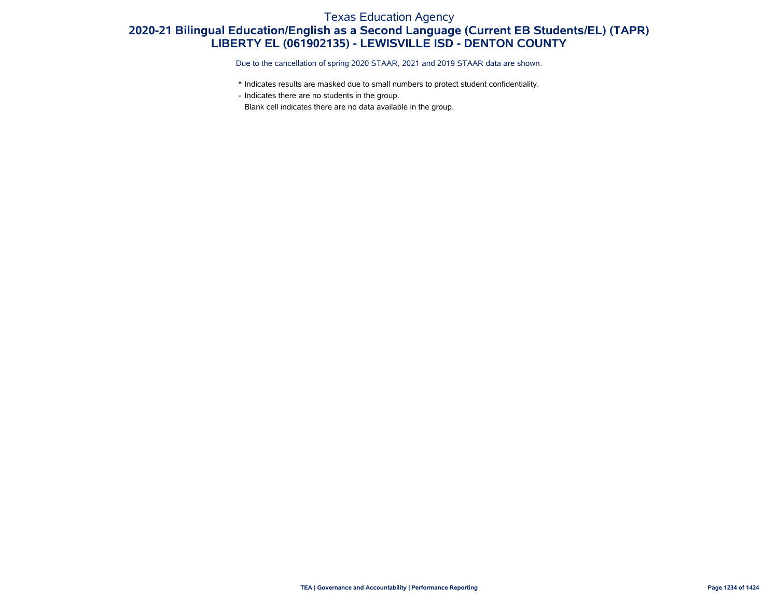## Texas Education Agency **2020-21 Bilingual Education/English as a Second Language (Current EB Students/EL) (TAPR) LIBERTY EL (061902135) - LEWISVILLE ISD - DENTON COUNTY**

Due to the cancellation of spring 2020 STAAR, 2021 and 2019 STAAR data are shown.

- \* Indicates results are masked due to small numbers to protect student confidentiality.
- Indicates there are no students in the group.

Blank cell indicates there are no data available in the group.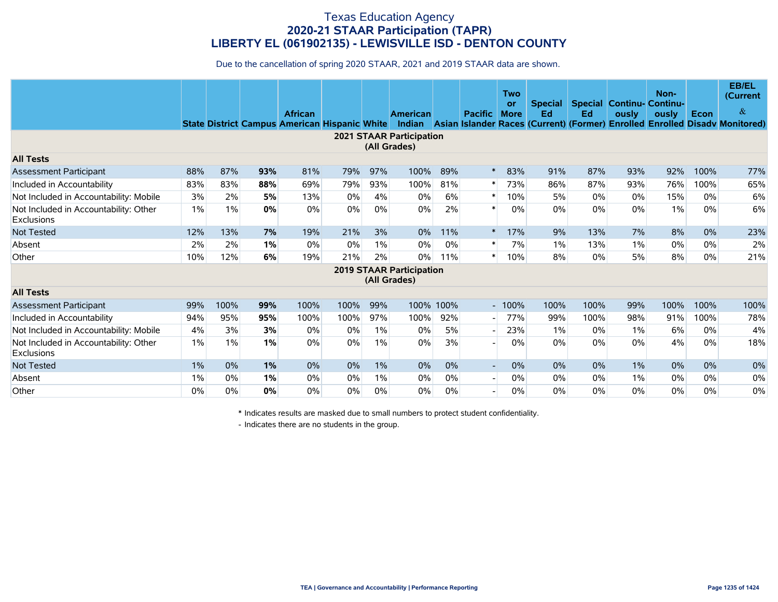Due to the cancellation of spring 2020 STAAR, 2021 and 2019 STAAR data are shown.

|                                                            |       |       |     | <b>African</b> |      |     | <b>American</b>                                 |     | <b>Pacific</b>           | <b>Two</b><br><b>or</b><br><b>More</b> | <b>Special</b><br>Ed | Ed   | <b>Special Continu- Continu-</b><br>ously | Non-<br>ously | Econ | <b>EB/EL</b><br>(Current<br>&                                                                                                    |
|------------------------------------------------------------|-------|-------|-----|----------------|------|-----|-------------------------------------------------|-----|--------------------------|----------------------------------------|----------------------|------|-------------------------------------------|---------------|------|----------------------------------------------------------------------------------------------------------------------------------|
|                                                            |       |       |     |                |      |     |                                                 |     |                          |                                        |                      |      |                                           |               |      | State District Campus American Hispanic White Indian Asian Islander Races (Current) (Former) Enrolled Enrolled Disady Monitored) |
|                                                            |       |       |     |                |      |     | <b>2021 STAAR Participation</b><br>(All Grades) |     |                          |                                        |                      |      |                                           |               |      |                                                                                                                                  |
| <b>All Tests</b>                                           |       |       |     |                |      |     |                                                 |     |                          |                                        |                      |      |                                           |               |      |                                                                                                                                  |
| <b>Assessment Participant</b>                              | 88%   | 87%   | 93% | 81%            | 79%  | 97% | 100%                                            | 89% | $\ast$                   | 83%                                    | 91%                  | 87%  | 93%                                       | 92%           | 100% | 77%                                                                                                                              |
| Included in Accountability                                 | 83%   | 83%   | 88% | 69%            | 79%  | 93% | 100%                                            | 81% | $\ast$                   | 73%                                    | 86%                  | 87%  | 93%                                       | 76%           | 100% | 65%                                                                                                                              |
| Not Included in Accountability: Mobile                     | 3%    | 2%    | 5%  | 13%            | 0%   | 4%  | 0%                                              | 6%  | $\ast$                   | 10%                                    | 5%                   | 0%   | $0\%$                                     | 15%           | 0%   | 6%                                                                                                                               |
| Not Included in Accountability: Other<br>Exclusions        | 1%    | 1%    | 0%  | 0%             | 0%   | 0%  | 0%                                              | 2%  | $\ast$                   | 0%                                     | 0%                   | 0%   | 0%                                        | 1%            | 0%   | 6%                                                                                                                               |
| <b>Not Tested</b>                                          | 12%   | 13%   | 7%  | 19%            | 21%  | 3%  | 0%                                              | 11% | $\ast$                   | 17%                                    | 9%                   | 13%  | 7%                                        | 8%            | 0%   | 23%                                                                                                                              |
| Absent                                                     | 2%    | 2%    | 1%  | 0%             | 0%   | 1%  | 0%                                              | 0%  | $\ast$                   | 7%                                     | 1%                   | 13%  | 1%                                        | 0%            | 0%   | 2%                                                                                                                               |
| Other                                                      | 10%   | 12%   | 6%  | 19%            | 21%  | 2%  | 0%                                              | 11% | $\ast$                   | 10%                                    | 8%                   | 0%   | 5%                                        | 8%            | 0%   | 21%                                                                                                                              |
|                                                            |       |       |     |                |      |     | <b>2019 STAAR Participation</b><br>(All Grades) |     |                          |                                        |                      |      |                                           |               |      |                                                                                                                                  |
| <b>All Tests</b>                                           |       |       |     |                |      |     |                                                 |     |                          |                                        |                      |      |                                           |               |      |                                                                                                                                  |
| <b>Assessment Participant</b>                              | 99%   | 100%  | 99% | 100%           | 100% | 99% | 100% 100%                                       |     |                          | $-100%$                                | 100%                 | 100% | 99%                                       | 100%          | 100% | 100%                                                                                                                             |
| Included in Accountability                                 | 94%   | 95%   | 95% | 100%           | 100% | 97% | 100%                                            | 92% | $\overline{\phantom{a}}$ | 77%                                    | 99%                  | 100% | 98%                                       | 91%           | 100% | 78%                                                                                                                              |
| Not Included in Accountability: Mobile                     | 4%    | 3%    | 3%  | 0%             | 0%   | 1%  | 0%                                              | 5%  | $\overline{\phantom{a}}$ | 23%                                    | 1%                   | 0%   | 1%                                        | 6%            | 0%   | 4%                                                                                                                               |
| Not Included in Accountability: Other<br><b>Exclusions</b> | $1\%$ | $1\%$ | 1%  | 0%             | 0%   | 1%  | 0%                                              | 3%  |                          | 0%                                     | 0%                   | 0%   | 0%                                        | 4%            | 0%   | 18%                                                                                                                              |
| <b>Not Tested</b>                                          | $1\%$ | 0%    | 1%  | 0%             | 0%   | 1%  | 0%                                              | 0%  | $\overline{\phantom{a}}$ | 0%                                     | $0\%$                | 0%   | $1\%$                                     | 0%            | 0%   | 0%                                                                                                                               |
| Absent                                                     | 1%    | 0%    | 1%  | 0%             | 0%   | 1%  | 0%                                              | 0%  | $\overline{\phantom{a}}$ | 0%                                     | $0\%$                | 0%   | 1%                                        | 0%            | 0%   | 0%                                                                                                                               |
| Other                                                      | $0\%$ | 0%    | 0%  | 0%             | 0%   | 0%  | 0%                                              | 0%  |                          | 0%                                     | 0%                   | 0%   | $0\%$                                     | 0%            | 0%   | 0%                                                                                                                               |

\* Indicates results are masked due to small numbers to protect student confidentiality.

- Indicates there are no students in the group.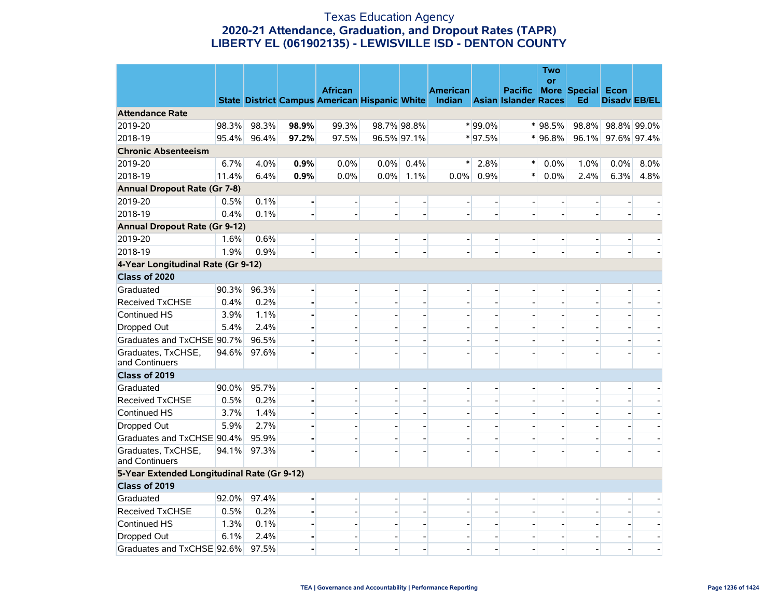## Texas Education Agency **2020-21 Attendance, Graduation, and Dropout Rates (TAPR) LIBERTY EL (061902135) - LEWISVILLE ISD - DENTON COUNTY**

|                                             |       |       |                | <b>African</b>                                |                          |                | <b>American</b>             |                          | <b>Pacific</b> | <b>Two</b><br>or | <b>More Special Econ</b> |                     |      |
|---------------------------------------------|-------|-------|----------------|-----------------------------------------------|--------------------------|----------------|-----------------------------|--------------------------|----------------|------------------|--------------------------|---------------------|------|
|                                             |       |       |                | State District Campus American Hispanic White |                          |                | Indian Asian Islander Races |                          |                |                  | Ed                       | <b>Disady EB/EL</b> |      |
| <b>Attendance Rate</b>                      |       |       |                |                                               |                          |                |                             |                          |                |                  |                          |                     |      |
| 2019-20                                     | 98.3% | 98.3% | 98.9%          | 99.3%                                         |                          | 98.7% 98.8%    |                             | * 99.0%                  |                | $*$ 98.5%        |                          | 98.8% 98.8% 99.0%   |      |
| 2018-19                                     | 95.4% | 96.4% | 97.2%          | 97.5%                                         |                          | 96.5% 97.1%    |                             | * 97.5%                  |                | $*96.8%$         |                          | 96.1% 97.6% 97.4%   |      |
| <b>Chronic Absenteeism</b>                  |       |       |                |                                               |                          |                |                             |                          |                |                  |                          |                     |      |
| 2019-20                                     | 6.7%  | 4.0%  | 0.9%           | $0.0\%$                                       | $0.0\%$                  | 0.4%           | $\ast$                      | 2.8%                     | $\ast$         | 0.0%             | 1.0%                     | $0.0\%$             | 8.0% |
| 2018-19                                     | 11.4% | 6.4%  | 0.9%           | 0.0%                                          | 0.0%                     | 1.1%           | 0.0%                        | 0.9%                     | $\ast$         | 0.0%             | 2.4%                     | 6.3%                | 4.8% |
| <b>Annual Dropout Rate (Gr 7-8)</b>         |       |       |                |                                               |                          |                |                             |                          |                |                  |                          |                     |      |
| 2019-20                                     | 0.5%  | 0.1%  |                |                                               | $\overline{a}$           |                |                             |                          |                |                  | $\overline{a}$           |                     |      |
| 2018-19                                     | 0.4%  | 0.1%  |                |                                               | $\blacksquare$           |                |                             | $\overline{\phantom{a}}$ |                |                  | $\overline{\phantom{0}}$ |                     |      |
| <b>Annual Dropout Rate (Gr 9-12)</b>        |       |       |                |                                               |                          |                |                             |                          |                |                  |                          |                     |      |
| 2019-20                                     | 1.6%  | 0.6%  |                |                                               | $\overline{\phantom{0}}$ | $\overline{a}$ | $\overline{a}$              | $\overline{a}$           |                |                  | $\qquad \qquad -$        | $\overline{a}$      |      |
| 2018-19                                     | 1.9%  | 0.9%  |                |                                               | $\overline{a}$           |                |                             |                          |                |                  |                          |                     |      |
| 4-Year Longitudinal Rate (Gr 9-12)          |       |       |                |                                               |                          |                |                             |                          |                |                  |                          |                     |      |
| Class of 2020                               |       |       |                |                                               |                          |                |                             |                          |                |                  |                          |                     |      |
| Graduated                                   | 90.3% | 96.3% | $\blacksquare$ |                                               | $\overline{a}$           |                | $\overline{a}$              | $\overline{\phantom{a}}$ |                | $\overline{a}$   | $\overline{\phantom{0}}$ |                     |      |
| <b>Received TxCHSE</b>                      | 0.4%  | 0.2%  |                |                                               | $\overline{\phantom{0}}$ |                |                             |                          |                |                  |                          |                     |      |
| Continued HS                                | 3.9%  | 1.1%  |                | $\overline{a}$                                | $\overline{\phantom{0}}$ |                | $\overline{a}$              |                          |                | $\overline{a}$   | $\overline{\phantom{a}}$ |                     |      |
| Dropped Out                                 | 5.4%  | 2.4%  |                |                                               | $\overline{\phantom{a}}$ |                |                             |                          |                |                  |                          |                     |      |
| Graduates and TxCHSE 90.7%                  |       | 96.5% |                |                                               | $\overline{a}$           |                |                             |                          |                |                  |                          |                     |      |
| Graduates, TxCHSE,<br>and Continuers        | 94.6% | 97.6% |                |                                               |                          |                |                             |                          |                |                  |                          |                     |      |
| Class of 2019                               |       |       |                |                                               |                          |                |                             |                          |                |                  |                          |                     |      |
| Graduated                                   | 90.0% | 95.7% |                |                                               | $\overline{\phantom{a}}$ | $\overline{a}$ | $\overline{\phantom{0}}$    | $\overline{a}$           |                |                  | $\overline{\phantom{0}}$ |                     |      |
| <b>Received TxCHSE</b>                      | 0.5%  | 0.2%  |                |                                               |                          |                |                             |                          |                |                  |                          |                     |      |
| Continued HS                                | 3.7%  | 1.4%  | ÷              |                                               | $\overline{a}$           |                |                             |                          |                |                  | $\overline{a}$           |                     |      |
| Dropped Out                                 | 5.9%  | 2.7%  |                |                                               | $\overline{a}$           |                |                             |                          |                |                  | $\overline{\phantom{0}}$ |                     |      |
| Graduates and TxCHSE 90.4%                  |       | 95.9% |                |                                               | $\blacksquare$           |                |                             |                          |                |                  | $\overline{a}$           |                     |      |
| Graduates, TxCHSE,<br>and Continuers        | 94.1% | 97.3% |                |                                               |                          |                |                             |                          |                |                  |                          |                     |      |
| 5-Year Extended Longitudinal Rate (Gr 9-12) |       |       |                |                                               |                          |                |                             |                          |                |                  |                          |                     |      |
| Class of 2019                               |       |       |                |                                               |                          |                |                             |                          |                |                  |                          |                     |      |
| Graduated                                   | 92.0% | 97.4% | $\blacksquare$ |                                               | $\overline{a}$           |                | $\overline{a}$              |                          |                | $\overline{a}$   |                          |                     |      |
| Received TxCHSE                             | 0.5%  | 0.2%  |                |                                               |                          |                |                             |                          |                |                  |                          |                     |      |
| Continued HS                                | 1.3%  | 0.1%  |                |                                               | $\overline{\phantom{a}}$ |                | $\blacksquare$              | $\blacksquare$           |                |                  | $\overline{\phantom{0}}$ |                     |      |
| Dropped Out                                 | 6.1%  | 2.4%  |                |                                               | $\overline{\phantom{a}}$ |                | $\overline{\phantom{0}}$    | $\overline{\phantom{a}}$ |                |                  | $\blacksquare$           |                     |      |
| Graduates and TxCHSE 92.6%                  |       | 97.5% |                |                                               | $\overline{\phantom{a}}$ |                |                             |                          |                |                  | $\blacksquare$           |                     |      |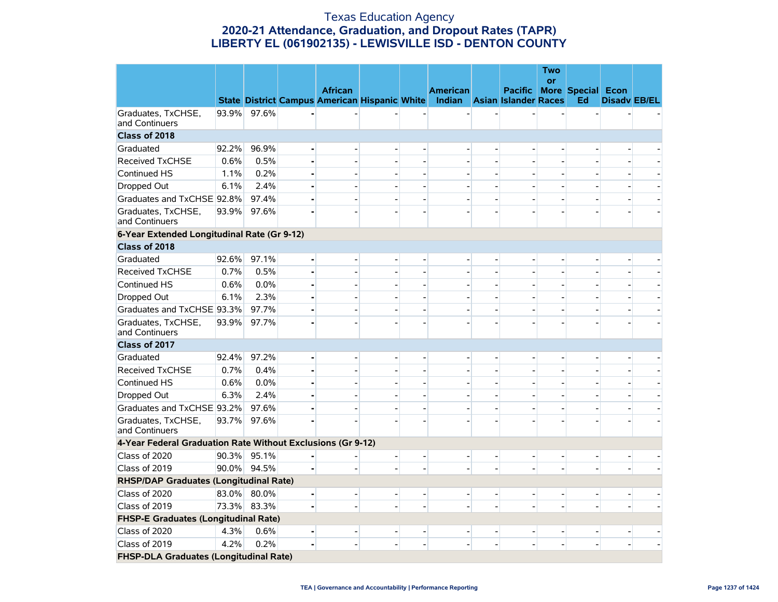## Texas Education Agency **2020-21 Attendance, Graduation, and Dropout Rates (TAPR) LIBERTY EL (061902135) - LEWISVILLE ISD - DENTON COUNTY**

|                                                             |       |             |                                                                           |                          |                          |                | <b>Two</b><br><b>or</b> |                          |                     |        |
|-------------------------------------------------------------|-------|-------------|---------------------------------------------------------------------------|--------------------------|--------------------------|----------------|-------------------------|--------------------------|---------------------|--------|
|                                                             |       |             | <b>African</b>                                                            |                          | <b>American</b>          | <b>Pacific</b> |                         | <b>More Special Econ</b> |                     |        |
|                                                             |       |             | State District Campus American Hispanic White Indian Asian Islander Races |                          |                          |                |                         | Ed                       | <b>Disady EB/EL</b> |        |
| Graduates, TxCHSE,<br>and Continuers                        | 93.9% | 97.6%       |                                                                           |                          |                          |                |                         |                          |                     |        |
| Class of 2018                                               |       |             |                                                                           |                          |                          |                |                         |                          |                     |        |
| Graduated                                                   | 92.2% | 96.9%       |                                                                           |                          |                          |                |                         |                          |                     |        |
| <b>Received TxCHSE</b>                                      | 0.6%  | 0.5%        |                                                                           |                          |                          |                |                         |                          |                     |        |
| Continued HS                                                | 1.1%  | 0.2%        |                                                                           |                          |                          |                |                         |                          |                     |        |
| Dropped Out                                                 | 6.1%  | 2.4%        |                                                                           | $\overline{a}$           | $\overline{a}$           |                |                         | $\overline{a}$           |                     |        |
| Graduates and TxCHSE 92.8%                                  |       | 97.4%       |                                                                           | $\overline{\phantom{0}}$ |                          |                |                         |                          |                     |        |
| Graduates, TxCHSE,<br>and Continuers                        | 93.9% | 97.6%       |                                                                           |                          |                          |                |                         |                          |                     |        |
| 6-Year Extended Longitudinal Rate (Gr 9-12)                 |       |             |                                                                           |                          |                          |                |                         |                          |                     |        |
| Class of 2018                                               |       |             |                                                                           |                          |                          |                |                         |                          |                     |        |
| Graduated                                                   | 92.6% | 97.1%       |                                                                           | $\overline{\phantom{a}}$ |                          |                |                         |                          |                     |        |
| <b>Received TxCHSE</b>                                      | 0.7%  | 0.5%        |                                                                           |                          |                          |                |                         |                          |                     |        |
| Continued HS                                                | 0.6%  | 0.0%        |                                                                           |                          |                          |                |                         |                          |                     |        |
| Dropped Out                                                 | 6.1%  | 2.3%        |                                                                           |                          |                          |                |                         |                          |                     |        |
| Graduates and TxCHSE 93.3%                                  |       | 97.7%       |                                                                           |                          |                          |                |                         |                          |                     |        |
| Graduates, TxCHSE,<br>and Continuers                        | 93.9% | 97.7%       |                                                                           |                          |                          |                |                         |                          |                     |        |
| Class of 2017                                               |       |             |                                                                           |                          |                          |                |                         |                          |                     |        |
| Graduated                                                   | 92.4% | 97.2%       |                                                                           | $\overline{a}$           |                          |                |                         |                          |                     |        |
| <b>Received TxCHSE</b>                                      | 0.7%  | 0.4%        |                                                                           |                          |                          |                |                         |                          |                     |        |
| Continued HS                                                | 0.6%  | 0.0%        |                                                                           | $\blacksquare$           | $\overline{a}$           |                |                         | $\overline{a}$           |                     | $\sim$ |
| Dropped Out                                                 | 6.3%  | 2.4%        |                                                                           |                          |                          |                |                         |                          |                     |        |
| Graduates and TxCHSE 93.2%                                  |       | 97.6%       |                                                                           |                          |                          |                |                         |                          |                     |        |
| Graduates, TxCHSE,<br>and Continuers                        | 93.7% | 97.6%       |                                                                           |                          |                          |                |                         |                          |                     |        |
| 4-Year Federal Graduation Rate Without Exclusions (Gr 9-12) |       |             |                                                                           |                          |                          |                |                         |                          |                     |        |
| Class of 2020                                               |       | 90.3% 95.1% |                                                                           | $\overline{\phantom{a}}$ | $\overline{\phantom{a}}$ |                |                         | $\overline{\phantom{a}}$ |                     |        |
| Class of 2019                                               |       | 90.0% 94.5% |                                                                           |                          |                          |                |                         |                          |                     |        |
| RHSP/DAP Graduates (Longitudinal Rate)                      |       |             |                                                                           |                          |                          |                |                         |                          |                     |        |
| Class of 2020                                               | 83.0% | 80.0%       |                                                                           |                          |                          |                |                         |                          |                     |        |
| Class of 2019                                               |       | 73.3% 83.3% |                                                                           | $\overline{\phantom{0}}$ | $\overline{a}$           |                |                         | $\overline{\phantom{0}}$ | $\overline{a}$      |        |
| <b>FHSP-E Graduates (Longitudinal Rate)</b>                 |       |             |                                                                           |                          |                          |                |                         |                          |                     |        |
| Class of 2020                                               | 4.3%  | 0.6%        |                                                                           |                          |                          |                |                         |                          |                     |        |
| Class of 2019                                               | 4.2%  | 0.2%        |                                                                           |                          |                          |                |                         |                          |                     |        |
| <b>FHSP-DLA Graduates (Longitudinal Rate)</b>               |       |             |                                                                           |                          |                          |                |                         |                          |                     |        |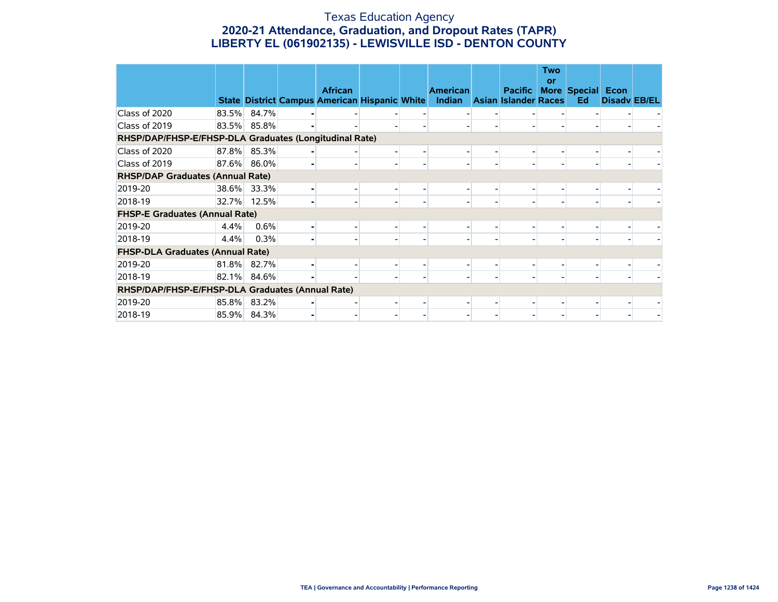## Texas Education Agency **2020-21 Attendance, Graduation, and Dropout Rates (TAPR) LIBERTY EL (061902135) - LEWISVILLE ISD - DENTON COUNTY**

|                                                        |       |             |                                                                        |                          |                                  |                                        | <b>Two</b><br>or |                                |                     |  |
|--------------------------------------------------------|-------|-------------|------------------------------------------------------------------------|--------------------------|----------------------------------|----------------------------------------|------------------|--------------------------------|---------------------|--|
|                                                        |       |             | <b>African</b><br><b>State District Campus American Hispanic White</b> |                          | <b>American</b><br><b>Indian</b> | <b>Pacific</b><br>Asian Islander Races |                  | <b>More Special Econ</b><br>Ed | <b>Disady EB/EL</b> |  |
| Class of 2020                                          | 83.5% | 84.7%       |                                                                        |                          |                                  |                                        |                  |                                |                     |  |
| Class of 2019                                          | 83.5% | 85.8%       |                                                                        |                          |                                  |                                        |                  |                                |                     |  |
| RHSP/DAP/FHSP-E/FHSP-DLA Graduates (Longitudinal Rate) |       |             |                                                                        |                          |                                  |                                        |                  |                                |                     |  |
| Class of 2020                                          | 87.8% | 85.3%       |                                                                        |                          |                                  |                                        |                  |                                |                     |  |
| Class of 2019                                          | 87.6% | 86.0%       |                                                                        | $\overline{\phantom{0}}$ |                                  |                                        |                  |                                |                     |  |
| <b>RHSP/DAP Graduates (Annual Rate)</b>                |       |             |                                                                        |                          |                                  |                                        |                  |                                |                     |  |
| 2019-20                                                | 38.6% | 33.3%       |                                                                        |                          |                                  |                                        |                  |                                |                     |  |
| 2018-19                                                | 32.7% | 12.5%       |                                                                        | $\overline{\phantom{a}}$ |                                  |                                        |                  |                                |                     |  |
| <b>FHSP-E Graduates (Annual Rate)</b>                  |       |             |                                                                        |                          |                                  |                                        |                  |                                |                     |  |
| 2019-20                                                | 4.4%  | 0.6%        |                                                                        |                          |                                  |                                        |                  |                                |                     |  |
| 2018-19                                                | 4.4%  | 0.3%        |                                                                        | $\overline{\phantom{0}}$ |                                  |                                        |                  |                                |                     |  |
| <b>FHSP-DLA Graduates (Annual Rate)</b>                |       |             |                                                                        |                          |                                  |                                        |                  |                                |                     |  |
| 2019-20                                                | 81.8% | 82.7%       |                                                                        |                          |                                  |                                        |                  |                                |                     |  |
| 2018-19                                                | 82.1% | 84.6%       |                                                                        |                          |                                  |                                        |                  |                                |                     |  |
| RHSP/DAP/FHSP-E/FHSP-DLA Graduates (Annual Rate)       |       |             |                                                                        |                          |                                  |                                        |                  |                                |                     |  |
| 2019-20                                                | 85.8% | 83.2%       |                                                                        |                          |                                  |                                        |                  |                                |                     |  |
| 2018-19                                                |       | 85.9% 84.3% |                                                                        |                          |                                  |                                        |                  |                                |                     |  |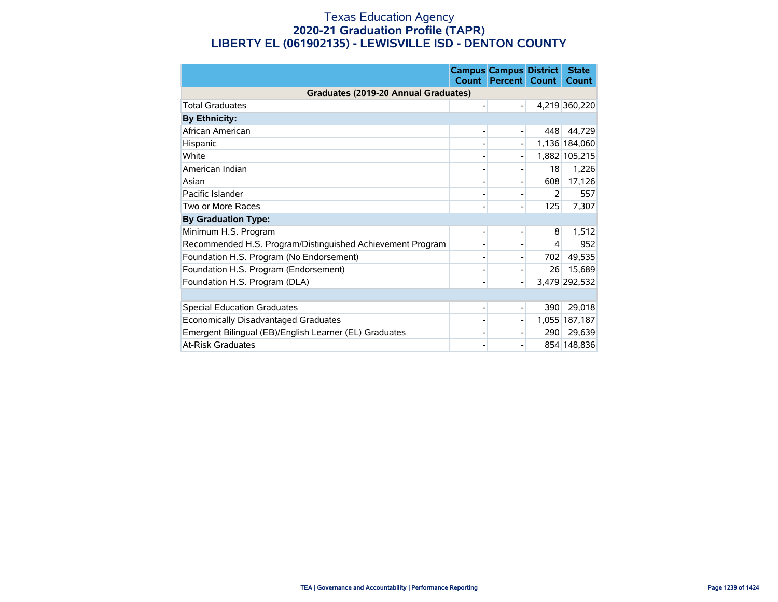#### Texas Education Agency **2020-21 Graduation Profile (TAPR) LIBERTY EL (061902135) - LEWISVILLE ISD - DENTON COUNTY**

|                                                            | <b>Count</b> | <b>Campus Campus District</b><br><b>Percent</b> | Count         | <b>State</b><br><b>Count</b> |
|------------------------------------------------------------|--------------|-------------------------------------------------|---------------|------------------------------|
| Graduates (2019-20 Annual Graduates)                       |              |                                                 |               |                              |
| <b>Total Graduates</b>                                     |              |                                                 |               | 4,219 360,220                |
| <b>By Ethnicity:</b>                                       |              |                                                 |               |                              |
| African American                                           |              |                                                 | 448           | 44,729                       |
| Hispanic                                                   |              |                                                 |               | 1,136 184,060                |
| White                                                      |              |                                                 |               | 1,882 105,215                |
| American Indian                                            |              |                                                 | 18            | 1,226                        |
| Asian                                                      |              |                                                 | 608           | 17,126                       |
| Pacific Islander                                           |              |                                                 | $\mathcal{P}$ | 557                          |
| Two or More Races                                          |              |                                                 | 125           | 7,307                        |
| <b>By Graduation Type:</b>                                 |              |                                                 |               |                              |
| Minimum H.S. Program                                       |              |                                                 | 8             | 1,512                        |
| Recommended H.S. Program/Distinguished Achievement Program |              |                                                 | 4             | 952                          |
| Foundation H.S. Program (No Endorsement)                   |              |                                                 | 702           | 49,535                       |
| Foundation H.S. Program (Endorsement)                      |              |                                                 | 26            | 15,689                       |
| Foundation H.S. Program (DLA)                              |              |                                                 |               | 3,479 292,532                |
|                                                            |              |                                                 |               |                              |
| <b>Special Education Graduates</b>                         |              |                                                 | 390           | 29,018                       |
| Economically Disadvantaged Graduates                       |              |                                                 | 1,055         | 187,187                      |
| Emergent Bilingual (EB)/English Learner (EL) Graduates     |              |                                                 | 290           | 29,639                       |
| <b>At-Risk Graduates</b>                                   |              |                                                 |               | 854 148,836                  |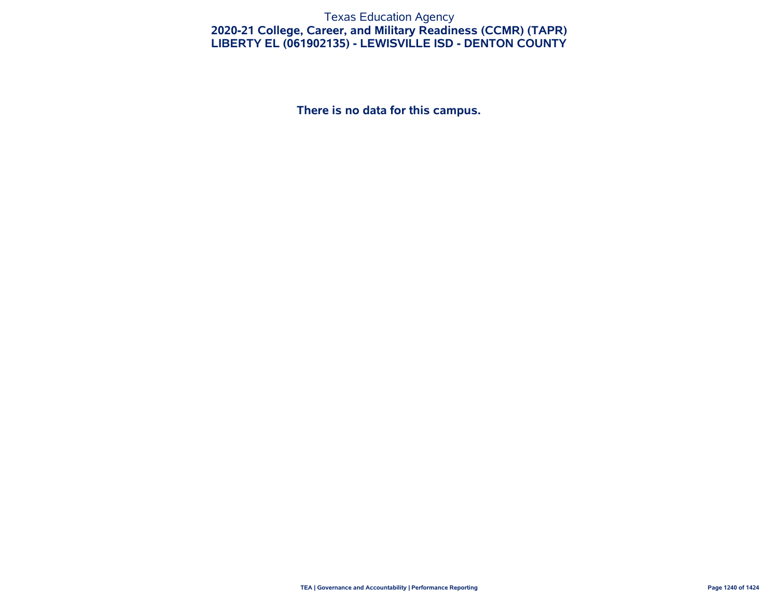## Texas Education Agency **2020-21 College, Career, and Military Readiness (CCMR) (TAPR) LIBERTY EL (061902135) - LEWISVILLE ISD - DENTON COUNTY**

**There is no data for this campus.**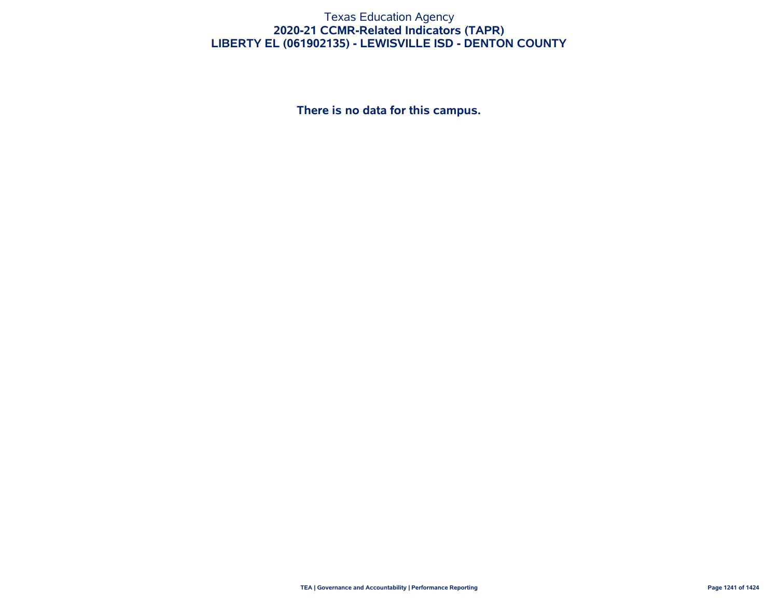#### Texas Education Agency **2020-21 CCMR-Related Indicators (TAPR) LIBERTY EL (061902135) - LEWISVILLE ISD - DENTON COUNTY**

**There is no data for this campus.**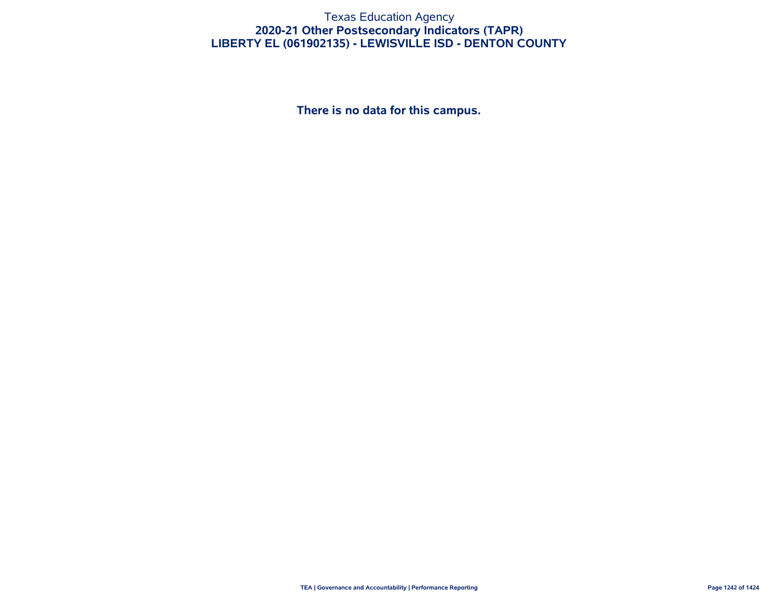#### Texas Education Agency **2020-21 Other Postsecondary Indicators (TAPR) LIBERTY EL (061902135) - LEWISVILLE ISD - DENTON COUNTY**

**There is no data for this campus.**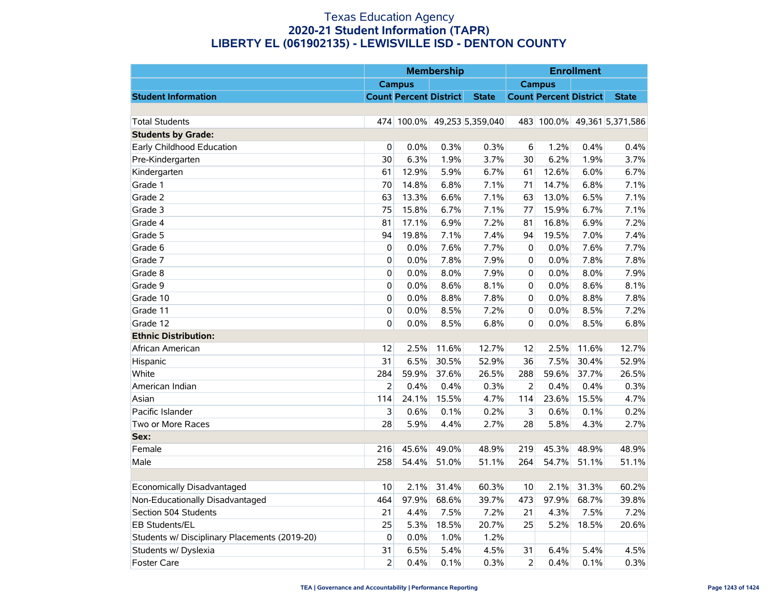|                                               |                |                               | <b>Membership</b> |                             |                         |                               | <b>Enrollment</b> |                             |
|-----------------------------------------------|----------------|-------------------------------|-------------------|-----------------------------|-------------------------|-------------------------------|-------------------|-----------------------------|
|                                               |                | <b>Campus</b>                 |                   |                             |                         | <b>Campus</b>                 |                   |                             |
| <b>Student Information</b>                    |                | <b>Count Percent District</b> |                   | <b>State</b>                |                         | <b>Count Percent District</b> |                   | <b>State</b>                |
|                                               |                |                               |                   |                             |                         |                               |                   |                             |
| <b>Total Students</b>                         |                |                               |                   | 474 100.0% 49,253 5,359,040 |                         |                               |                   | 483 100.0% 49,361 5,371,586 |
| <b>Students by Grade:</b>                     |                |                               |                   |                             |                         |                               |                   |                             |
| Early Childhood Education                     | 0              | 0.0%                          | 0.3%              | 0.3%                        | 6                       | 1.2%                          | 0.4%              | 0.4%                        |
| Pre-Kindergarten                              | 30             | 6.3%                          | 1.9%              | 3.7%                        | 30 <sup>°</sup>         | 6.2%                          | 1.9%              | 3.7%                        |
| Kindergarten                                  | 61             | 12.9%                         | 5.9%              | 6.7%                        | 61                      | 12.6%                         | 6.0%              | 6.7%                        |
| Grade 1                                       | 70             | 14.8%                         | 6.8%              | 7.1%                        | 71                      | 14.7%                         | 6.8%              | 7.1%                        |
| Grade 2                                       | 63             | 13.3%                         | 6.6%              | 7.1%                        | 63                      | 13.0%                         | 6.5%              | 7.1%                        |
| Grade 3                                       | 75             | 15.8%                         | 6.7%              | 7.1%                        | 77                      | 15.9%                         | 6.7%              | 7.1%                        |
| Grade 4                                       | 81             | 17.1%                         | 6.9%              | 7.2%                        | 81                      | 16.8%                         | 6.9%              | 7.2%                        |
| Grade 5                                       | 94             | 19.8%                         | 7.1%              | 7.4%                        | 94                      | 19.5%                         | 7.0%              | 7.4%                        |
| Grade 6                                       | 0              | 0.0%                          | 7.6%              | 7.7%                        | 0                       | 0.0%                          | 7.6%              | 7.7%                        |
| Grade 7                                       | 0              | 0.0%                          | 7.8%              | 7.9%                        | $\mathbf 0$             | 0.0%                          | 7.8%              | 7.8%                        |
| Grade 8                                       | 0              | 0.0%                          | 8.0%              | 7.9%                        | 0                       | 0.0%                          | 8.0%              | 7.9%                        |
| Grade 9                                       | 0              | 0.0%                          | 8.6%              | 8.1%                        | $\mathbf 0$             | 0.0%                          | 8.6%              | 8.1%                        |
| Grade 10                                      | 0              | 0.0%                          | 8.8%              | 7.8%                        | $\mathbf 0$             | 0.0%                          | 8.8%              | 7.8%                        |
| Grade 11                                      | 0              | 0.0%                          | 8.5%              | 7.2%                        | $\mathbf 0$             | 0.0%                          | 8.5%              | 7.2%                        |
| Grade 12                                      | 0              | 0.0%                          | 8.5%              | 6.8%                        | $\overline{0}$          | 0.0%                          | 8.5%              | 6.8%                        |
| <b>Ethnic Distribution:</b>                   |                |                               |                   |                             |                         |                               |                   |                             |
| African American                              | 12             | 2.5%                          | 11.6%             | 12.7%                       | 12                      | 2.5%                          | 11.6%             | 12.7%                       |
| Hispanic                                      | 31             | 6.5%                          | 30.5%             | 52.9%                       | 36                      | 7.5%                          | 30.4%             | 52.9%                       |
| White                                         | 284            | 59.9%                         | 37.6%             | 26.5%                       | 288                     | 59.6%                         | 37.7%             | 26.5%                       |
| American Indian                               | $\overline{2}$ | 0.4%                          | 0.4%              | 0.3%                        | $\overline{2}$          | 0.4%                          | 0.4%              | 0.3%                        |
| Asian                                         | 114            | 24.1%                         | 15.5%             | 4.7%                        | 114                     | 23.6%                         | 15.5%             | 4.7%                        |
| Pacific Islander                              | 3              | 0.6%                          | 0.1%              | 0.2%                        | $\overline{\mathbf{3}}$ | 0.6%                          | 0.1%              | 0.2%                        |
| Two or More Races                             | 28             | 5.9%                          | 4.4%              | 2.7%                        | 28                      | 5.8%                          | 4.3%              | 2.7%                        |
| Sex:                                          |                |                               |                   |                             |                         |                               |                   |                             |
| Female                                        | 216            | 45.6%                         | 49.0%             | 48.9%                       | 219                     | 45.3%                         | 48.9%             | 48.9%                       |
| Male                                          | 258            | 54.4%                         | 51.0%             | 51.1%                       | 264                     | 54.7%                         | 51.1%             | 51.1%                       |
|                                               |                |                               |                   |                             |                         |                               |                   |                             |
| Economically Disadvantaged                    | 10             | 2.1%                          | 31.4%             | 60.3%                       | 10                      | 2.1%                          | 31.3%             | 60.2%                       |
| Non-Educationally Disadvantaged               | 464            | 97.9%                         | 68.6%             | 39.7%                       | 473                     | 97.9%                         | 68.7%             | 39.8%                       |
| Section 504 Students                          | 21             | 4.4%                          | 7.5%              | 7.2%                        | 21                      | 4.3%                          | 7.5%              | 7.2%                        |
| EB Students/EL                                | 25             | 5.3%                          | 18.5%             | 20.7%                       | 25                      | 5.2%                          | 18.5%             | 20.6%                       |
| Students w/ Disciplinary Placements (2019-20) | 0              | 0.0%                          | 1.0%              | 1.2%                        |                         |                               |                   |                             |
| Students w/ Dyslexia                          | 31             | 6.5%                          | 5.4%              | 4.5%                        | 31                      | 6.4%                          | 5.4%              | 4.5%                        |
| <b>Foster Care</b>                            | $\overline{2}$ | 0.4%                          | 0.1%              | 0.3%                        | $\overline{2}$          | 0.4%                          | 0.1%              | 0.3%                        |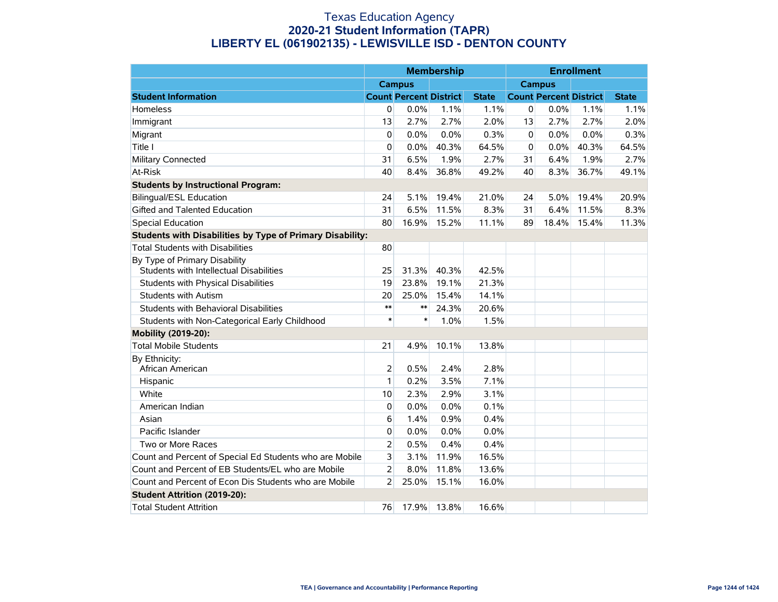|                                                                          |             |                               | <b>Membership</b> |              |             |               | <b>Enrollment</b>             |              |
|--------------------------------------------------------------------------|-------------|-------------------------------|-------------------|--------------|-------------|---------------|-------------------------------|--------------|
|                                                                          |             | <b>Campus</b>                 |                   |              |             | <b>Campus</b> |                               |              |
| <b>Student Information</b>                                               |             | <b>Count Percent District</b> |                   | <b>State</b> |             |               | <b>Count Percent District</b> | <b>State</b> |
| <b>Homeless</b>                                                          | $\mathbf 0$ | 0.0%                          | 1.1%              | 1.1%         | $\mathbf 0$ | 0.0%          | 1.1%                          | 1.1%         |
| Immigrant                                                                | 13          | 2.7%                          | 2.7%              | 2.0%         | 13          | 2.7%          | 2.7%                          | 2.0%         |
| Migrant                                                                  | 0           | 0.0%                          | 0.0%              | 0.3%         | $\mathbf 0$ | 0.0%          | 0.0%                          | 0.3%         |
| Title I                                                                  | 0           | 0.0%                          | 40.3%             | 64.5%        | 0           | 0.0%          | 40.3%                         | 64.5%        |
| Military Connected                                                       | 31          | 6.5%                          | 1.9%              | 2.7%         | 31          | 6.4%          | 1.9%                          | 2.7%         |
| At-Risk                                                                  | 40          | 8.4%                          | 36.8%             | 49.2%        | 40          | 8.3%          | 36.7%                         | 49.1%        |
| <b>Students by Instructional Program:</b>                                |             |                               |                   |              |             |               |                               |              |
| <b>Bilingual/ESL Education</b>                                           | 24          | 5.1%                          | 19.4%             | 21.0%        | 24          | 5.0%          | 19.4%                         | 20.9%        |
| Gifted and Talented Education                                            | 31          | 6.5%                          | 11.5%             | 8.3%         | 31          | 6.4%          | 11.5%                         | 8.3%         |
| <b>Special Education</b>                                                 | 80          | 16.9%                         | 15.2%             | 11.1%        | 89          | 18.4%         | 15.4%                         | 11.3%        |
| Students with Disabilities by Type of Primary Disability:                |             |                               |                   |              |             |               |                               |              |
| <b>Total Students with Disabilities</b>                                  | 80          |                               |                   |              |             |               |                               |              |
| By Type of Primary Disability<br>Students with Intellectual Disabilities | 25          | 31.3%                         | 40.3%             | 42.5%        |             |               |                               |              |
| Students with Physical Disabilities                                      | 19          | 23.8%                         | 19.1%             | 21.3%        |             |               |                               |              |
| <b>Students with Autism</b>                                              | 20          | 25.0%                         | 15.4%             | 14.1%        |             |               |                               |              |
| Students with Behavioral Disabilities                                    | $**$        | $***$                         | 24.3%             | 20.6%        |             |               |                               |              |
| Students with Non-Categorical Early Childhood                            | $\ast$      | $\ast$                        | 1.0%              | 1.5%         |             |               |                               |              |
| Mobility (2019-20):                                                      |             |                               |                   |              |             |               |                               |              |
| <b>Total Mobile Students</b>                                             | 21          | 4.9%                          | 10.1%             | 13.8%        |             |               |                               |              |
| By Ethnicity:<br>African American                                        | 2           | 0.5%                          | 2.4%              | 2.8%         |             |               |                               |              |
| Hispanic                                                                 | 1           | 0.2%                          | 3.5%              | 7.1%         |             |               |                               |              |
| White                                                                    | 10          | 2.3%                          | 2.9%              | 3.1%         |             |               |                               |              |
| American Indian                                                          | 0           | 0.0%                          | 0.0%              | 0.1%         |             |               |                               |              |
| Asian                                                                    | 6           | 1.4%                          | 0.9%              | 0.4%         |             |               |                               |              |
| Pacific Islander                                                         | 0           | 0.0%                          | 0.0%              | 0.0%         |             |               |                               |              |
| Two or More Races                                                        | 2           | 0.5%                          | 0.4%              | 0.4%         |             |               |                               |              |
| Count and Percent of Special Ed Students who are Mobile                  | 3           | 3.1%                          | 11.9%             | 16.5%        |             |               |                               |              |
| Count and Percent of EB Students/EL who are Mobile                       | 2           | 8.0%                          | 11.8%             | 13.6%        |             |               |                               |              |
| Count and Percent of Econ Dis Students who are Mobile                    | 2           | 25.0%                         | 15.1%             | 16.0%        |             |               |                               |              |
| Student Attrition (2019-20):                                             |             |                               |                   |              |             |               |                               |              |
| <b>Total Student Attrition</b>                                           | 76          | 17.9%                         | 13.8%             | 16.6%        |             |               |                               |              |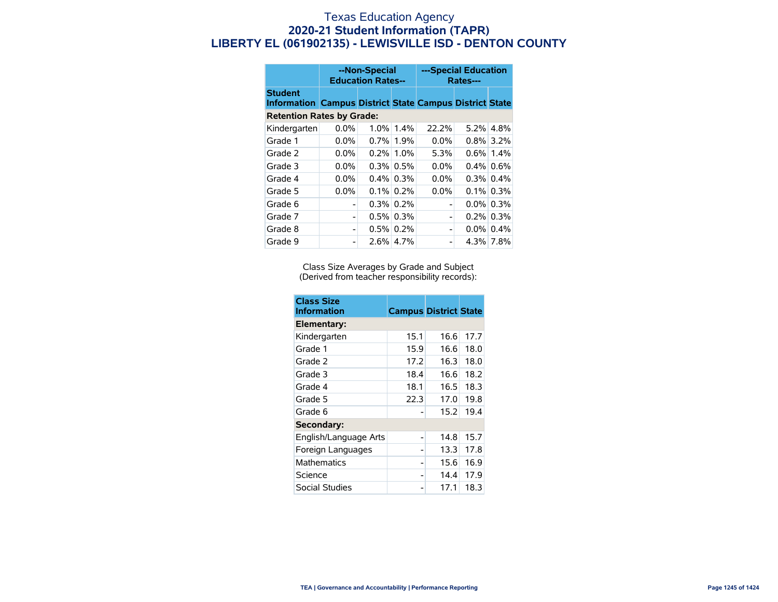|                                                                                  | --Non-Special<br><b>Education Rates--</b> |         |              | ---Special Education<br>Rates--- |         |              |
|----------------------------------------------------------------------------------|-------------------------------------------|---------|--------------|----------------------------------|---------|--------------|
| <b>Student</b><br><b>Information Campus District State Campus District State</b> |                                           |         |              |                                  |         |              |
| <b>Retention Rates by Grade:</b>                                                 |                                           |         |              |                                  |         |              |
| Kindergarten                                                                     | $0.0\%$                                   | $1.0\%$ | 1.4%         | 22.2%                            | 5.2%    | 4.8%         |
| Grade 1                                                                          | $0.0\%$                                   |         | $0.7\%$ 1.9% | $0.0\%$                          |         | $0.8\%$ 3.2% |
| Grade 2                                                                          | $0.0\%$                                   | 0.2%    | 1.0%         | 5.3%                             |         | $0.6\%$ 1.4% |
| Grade 3                                                                          | $0.0\%$                                   |         | $0.3\%$ 0.5% | $0.0\%$                          |         | $0.4\%$ 0.6% |
| Grade 4                                                                          | $0.0\%$                                   |         | $0.4\%$ 0.3% | $0.0\%$                          | $0.3\%$ | 0.4%         |
| Grade 5                                                                          | 0.0%                                      |         | $0.1\%$ 0.2% | $0.0\%$                          |         | $0.1\%$ 0.3% |
| Grade 6                                                                          |                                           |         | $0.3\%$ 0.2% |                                  | $0.0\%$ | 0.3%         |
| Grade 7                                                                          |                                           |         | $0.5\%$ 0.3% | -                                |         | $0.2\%$ 0.3% |
| Grade 8                                                                          |                                           |         | $0.5\%$ 0.2% | -                                |         | $0.0\%$ 0.4% |
| Grade 9                                                                          |                                           |         | 2.6% 4.7%    |                                  |         | 4.3% 7.8%    |

Class Size Averages by Grade and Subject (Derived from teacher responsibility records):

| <b>Class Size</b><br><b>Information</b> | <b>Campus District State</b> |      |      |  |  |
|-----------------------------------------|------------------------------|------|------|--|--|
| Elementary:                             |                              |      |      |  |  |
| Kindergarten                            | 15.1                         | 16.6 | 17.7 |  |  |
| Grade 1                                 | 15.9                         | 16.6 | 18.0 |  |  |
| Grade 2                                 | 17.2                         | 16.3 | 18.0 |  |  |
| Grade 3                                 | 18.4                         | 16.6 | 18.2 |  |  |
| Grade 4                                 | 18.1                         | 16.5 | 18.3 |  |  |
| Grade 5                                 | 22.3                         | 17.0 | 19.8 |  |  |
| Grade 6                                 |                              | 15.2 | 19.4 |  |  |
| Secondary:                              |                              |      |      |  |  |
| English/Language Arts                   |                              | 14.8 | 15.7 |  |  |
| Foreign Languages                       |                              | 13.3 | 17.8 |  |  |
| <b>Mathematics</b>                      |                              | 15.6 | 16.9 |  |  |
| Science                                 |                              | 14.4 | 17.9 |  |  |
| Social Studies                          |                              | 17.1 | 18.3 |  |  |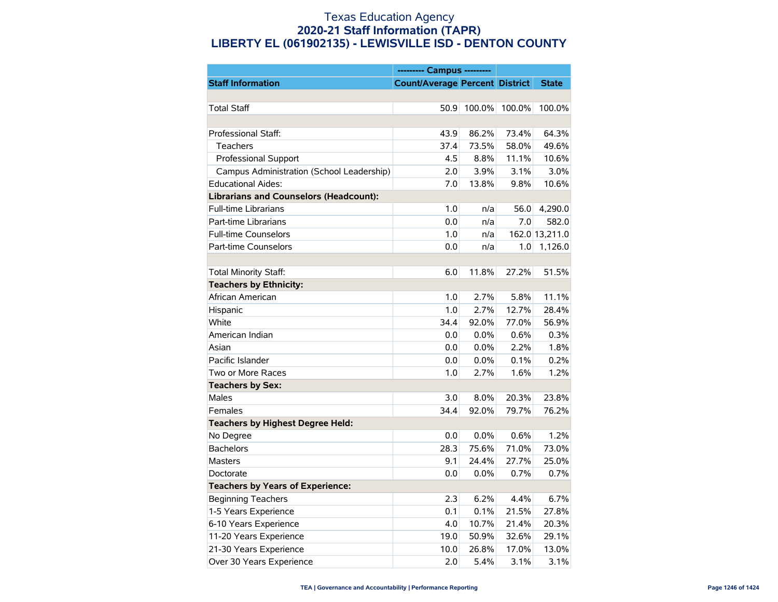|                                               | --------- Campus ---------            |         |        |                |  |  |
|-----------------------------------------------|---------------------------------------|---------|--------|----------------|--|--|
| <b>Staff Information</b>                      | <b>Count/Average Percent District</b> |         |        | <b>State</b>   |  |  |
|                                               |                                       |         |        |                |  |  |
| <b>Total Staff</b>                            | 50.9                                  | 100.0%  | 100.0% | 100.0%         |  |  |
|                                               |                                       |         |        |                |  |  |
| <b>Professional Staff:</b>                    | 43.9                                  | 86.2%   | 73.4%  | 64.3%          |  |  |
| Teachers                                      | 37.4                                  | 73.5%   | 58.0%  | 49.6%          |  |  |
| Professional Support                          | 4.5                                   | 8.8%    | 11.1%  | 10.6%          |  |  |
| Campus Administration (School Leadership)     | 2.0                                   | 3.9%    | 3.1%   | 3.0%           |  |  |
| <b>Educational Aides:</b>                     | 7.0                                   | 13.8%   | 9.8%   | 10.6%          |  |  |
| <b>Librarians and Counselors (Headcount):</b> |                                       |         |        |                |  |  |
| <b>Full-time Librarians</b>                   | 1.0                                   | n/a     | 56.0   | 4,290.0        |  |  |
| Part-time Librarians                          | 0.0                                   | n/a     | 7.0    | 582.0          |  |  |
| <b>Full-time Counselors</b>                   | 1.0                                   | n/a     |        | 162.0 13,211.0 |  |  |
| Part-time Counselors                          | 0.0                                   | n/a     | 1.0    | 1,126.0        |  |  |
|                                               |                                       |         |        |                |  |  |
| Total Minority Staff:                         | 6.0                                   | 11.8%   | 27.2%  | 51.5%          |  |  |
| <b>Teachers by Ethnicity:</b>                 |                                       |         |        |                |  |  |
| African American                              | 1.0                                   | 2.7%    | 5.8%   | 11.1%          |  |  |
| Hispanic                                      | 1.0                                   | 2.7%    | 12.7%  | 28.4%          |  |  |
| White                                         | 34.4                                  | 92.0%   | 77.0%  | 56.9%          |  |  |
| American Indian                               | 0.0                                   | 0.0%    | 0.6%   | 0.3%           |  |  |
| Asian                                         | 0.0                                   | 0.0%    | 2.2%   | 1.8%           |  |  |
| Pacific Islander                              | 0.0                                   | 0.0%    | 0.1%   | 0.2%           |  |  |
| Two or More Races                             | 1.0                                   | 2.7%    | 1.6%   | 1.2%           |  |  |
| <b>Teachers by Sex:</b>                       |                                       |         |        |                |  |  |
| <b>Males</b>                                  | 3.0                                   | $8.0\%$ | 20.3%  | 23.8%          |  |  |
| Females                                       | 34.4                                  | 92.0%   | 79.7%  | 76.2%          |  |  |
| <b>Teachers by Highest Degree Held:</b>       |                                       |         |        |                |  |  |
| No Degree                                     | 0.0                                   | 0.0%    | 0.6%   | 1.2%           |  |  |
| <b>Bachelors</b>                              | 28.3                                  | 75.6%   | 71.0%  | 73.0%          |  |  |
| <b>Masters</b>                                | 9.1                                   | 24.4%   | 27.7%  | 25.0%          |  |  |
| Doctorate                                     | 0.0                                   | 0.0%    | 0.7%   | 0.7%           |  |  |
| <b>Teachers by Years of Experience:</b>       |                                       |         |        |                |  |  |
| <b>Beginning Teachers</b>                     | 2.3                                   | 6.2%    | 4.4%   | 6.7%           |  |  |
| 1-5 Years Experience                          | 0.1                                   | 0.1%    | 21.5%  | 27.8%          |  |  |
| 6-10 Years Experience                         | 4.0                                   | 10.7%   | 21.4%  | 20.3%          |  |  |
| 11-20 Years Experience                        | 19.0                                  | 50.9%   | 32.6%  | 29.1%          |  |  |
| 21-30 Years Experience                        | 10.0                                  | 26.8%   | 17.0%  | 13.0%          |  |  |
| Over 30 Years Experience                      | 2.0                                   | 5.4%    | 3.1%   | 3.1%           |  |  |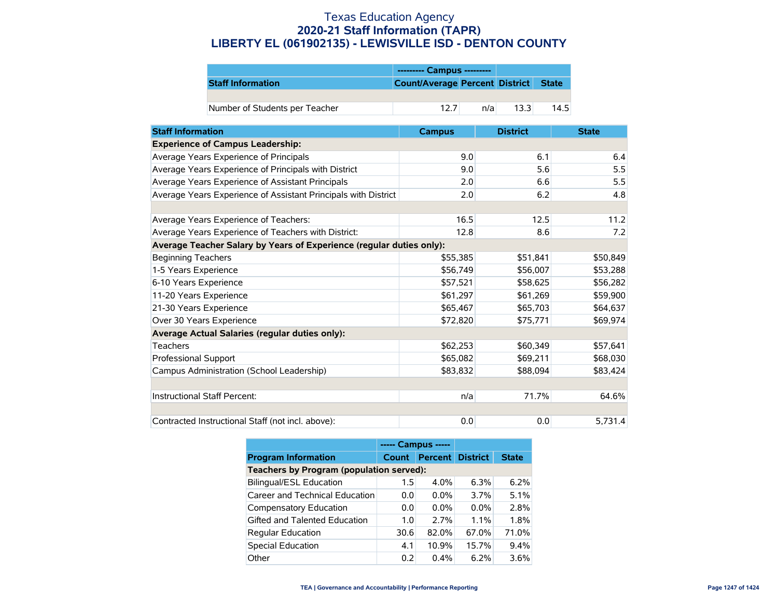|                                | --------- Campus ---------           |      |  |  |
|--------------------------------|--------------------------------------|------|--|--|
| <b>Staff Information</b>       | Count/Average Percent District State |      |  |  |
|                                |                                      |      |  |  |
| Number of Students per Teacher | 13.3<br>12.7<br>n/a                  | 14.5 |  |  |

| <b>Staff Information</b>                                             | <b>Campus</b> | <b>District</b> | <b>State</b> |  |  |
|----------------------------------------------------------------------|---------------|-----------------|--------------|--|--|
| <b>Experience of Campus Leadership:</b>                              |               |                 |              |  |  |
| Average Years Experience of Principals                               | 9.0           | 6.1             | 6.4          |  |  |
| Average Years Experience of Principals with District                 | 9.0           | 5.6             | 5.5          |  |  |
| Average Years Experience of Assistant Principals                     | 2.0           | 6.6             | 5.5          |  |  |
| Average Years Experience of Assistant Principals with District       | 2.0           | 6.2             | 4.8          |  |  |
|                                                                      |               |                 |              |  |  |
| Average Years Experience of Teachers:                                | 16.5          | 12.5            | 11.2         |  |  |
| Average Years Experience of Teachers with District:                  | 12.8          | 8.6             | 7.2          |  |  |
| Average Teacher Salary by Years of Experience (regular duties only): |               |                 |              |  |  |
| <b>Beginning Teachers</b>                                            | \$55,385      | \$51,841        | \$50,849     |  |  |
| 1-5 Years Experience                                                 | \$56,749      | \$56,007        | \$53,288     |  |  |
| 6-10 Years Experience                                                | \$57,521      | \$58,625        | \$56,282     |  |  |
| 11-20 Years Experience                                               | \$61,297      | \$61,269        | \$59,900     |  |  |
| 21-30 Years Experience                                               | \$65,467      | \$65,703        | \$64,637     |  |  |
| Over 30 Years Experience                                             | \$72,820      | \$75,771        | \$69,974     |  |  |
| Average Actual Salaries (regular duties only):                       |               |                 |              |  |  |
| <b>Teachers</b>                                                      | \$62,253      | \$60,349        | \$57,641     |  |  |
| Professional Support                                                 | \$65,082      | \$69,211        | \$68,030     |  |  |
| Campus Administration (School Leadership)                            | \$83,832      | \$88,094        | \$83,424     |  |  |
|                                                                      |               |                 |              |  |  |
| Instructional Staff Percent:                                         | n/a           | 71.7%           | 64.6%        |  |  |
|                                                                      |               |                 |              |  |  |
| Contracted Instructional Staff (not incl. above):                    | 0.0           | 0.0             | 5,731.4      |  |  |

|                                          | ----- Campus ----- |                         |         |              |
|------------------------------------------|--------------------|-------------------------|---------|--------------|
| <b>Program Information</b>               | Count              | <b>Percent District</b> |         | <b>State</b> |
| Teachers by Program (population served): |                    |                         |         |              |
| <b>Bilingual/ESL Education</b>           | $1.5\,$            | $4.0\%$                 | 6.3%    | 6.2%         |
| Career and Technical Education           | 0.0                | $0.0\%$                 | 3.7%    | 5.1%         |
| Compensatory Education                   | 0.0                | $0.0\%$                 | $0.0\%$ | 2.8%         |
| Gifted and Talented Education            | 1.0                | 2.7%                    | $1.1\%$ | 1.8%         |
| <b>Regular Education</b>                 | 30.6               | 82.0%                   | 67.0%   | 71.0%        |
| <b>Special Education</b>                 | 4.1                | 10.9%                   | 15.7%   | 9.4%         |
| Other                                    | 0.2                | 0.4%                    | 6.2%    | 3.6%         |